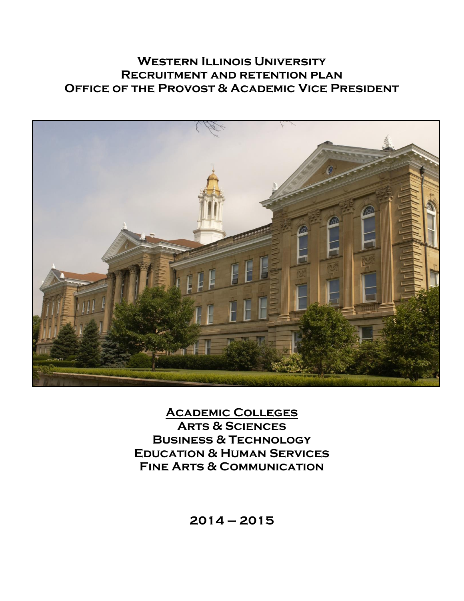# **Western Illinois University Recruitment and retention plan OFFICE OF THE PROVOST & ACADEMIC VICE PRESIDENT**



**Academic Colleges Arts & Sciences Business & Technology Education & Human Services Fine Arts & Communication**

**2014 – 2015**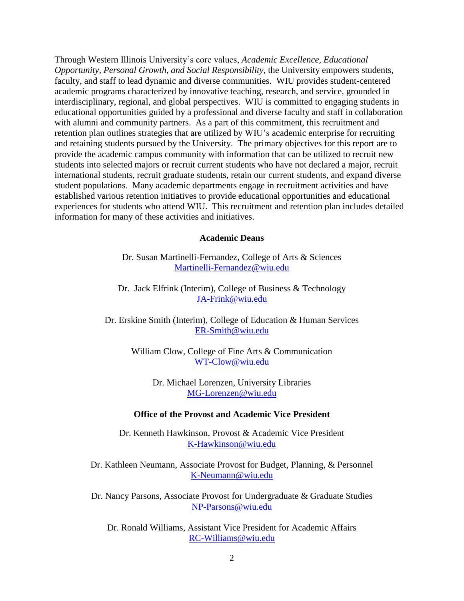Through Western Illinois University's core values, *Academic Excellence, Educational Opportunity, Personal Growth, and Social Responsibility*, the University empowers students, faculty, and staff to lead dynamic and diverse communities. WIU provides student-centered academic programs characterized by innovative teaching, research, and service, grounded in interdisciplinary, regional, and global perspectives. WIU is committed to engaging students in educational opportunities guided by a professional and diverse faculty and staff in collaboration with alumni and community partners. As a part of this commitment, this recruitment and retention plan outlines strategies that are utilized by WIU's academic enterprise for recruiting and retaining students pursued by the University. The primary objectives for this report are to provide the academic campus community with information that can be utilized to recruit new students into selected majors or recruit current students who have not declared a major, recruit international students, recruit graduate students, retain our current students, and expand diverse student populations. Many academic departments engage in recruitment activities and have established various retention initiatives to provide educational opportunities and educational experiences for students who attend WIU. This recruitment and retention plan includes detailed information for many of these activities and initiatives.

#### **Academic Deans**

Dr. Susan Martinelli-Fernandez, College of Arts & Sciences [Martinelli-Fernandez@wiu.edu](mailto:Martinelli-Fernandez@wiu.edu)

Dr. Jack Elfrink (Interim), College of Business & Technology [JA-Frink@wiu.edu](mailto:JA-Frink@wiu.edu)

Dr. Erskine Smith (Interim), College of Education & Human Services [ER-Smith@wiu.edu](mailto:ER-Smith@wiu.edu)

> William Clow, College of Fine Arts & Communication [WT-Clow@wiu.edu](mailto:WT-Clow@wiu.edu)

> > Dr. Michael Lorenzen, University Libraries [MG-Lorenzen@wiu.edu](mailto:MG-Lorenzen@wiu.edu)

#### **Office of the Provost and Academic Vice President**

Dr. Kenneth Hawkinson, Provost & Academic Vice President [K-Hawkinson@wiu.edu](mailto:K-Hawkinson@wiu.edu)

Dr. Kathleen Neumann, Associate Provost for Budget, Planning, & Personnel [K-Neumann@wiu.edu](mailto:K-Neumann@wiu.edu)

Dr. Nancy Parsons, Associate Provost for Undergraduate & Graduate Studies [NP-Parsons@wiu.edu](mailto:NP-Parsons@wiu.edu)

Dr. Ronald Williams, Assistant Vice President for Academic Affairs [RC-Williams@wiu.edu](mailto:RC-Williams@wiu.edu)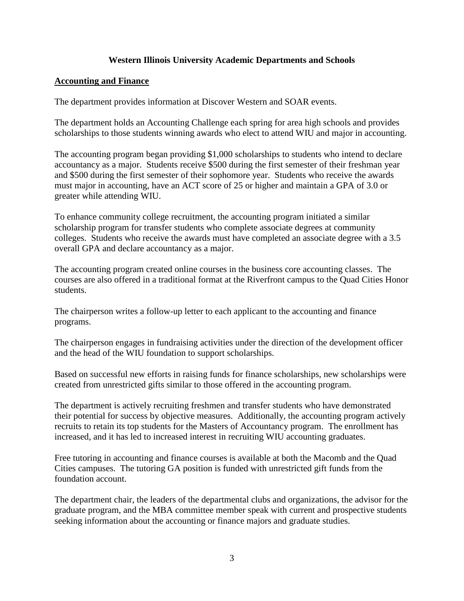# **Western Illinois University Academic Departments and Schools**

# **Accounting and Finance**

The department provides information at Discover Western and SOAR events.

The department holds an Accounting Challenge each spring for area high schools and provides scholarships to those students winning awards who elect to attend WIU and major in accounting.

The accounting program began providing \$1,000 scholarships to students who intend to declare accountancy as a major. Students receive \$500 during the first semester of their freshman year and \$500 during the first semester of their sophomore year. Students who receive the awards must major in accounting, have an ACT score of 25 or higher and maintain a GPA of 3.0 or greater while attending WIU.

To enhance community college recruitment, the accounting program initiated a similar scholarship program for transfer students who complete associate degrees at community colleges. Students who receive the awards must have completed an associate degree with a 3.5 overall GPA and declare accountancy as a major.

The accounting program created online courses in the business core accounting classes. The courses are also offered in a traditional format at the Riverfront campus to the Quad Cities Honor students.

The chairperson writes a follow-up letter to each applicant to the accounting and finance programs.

The chairperson engages in fundraising activities under the direction of the development officer and the head of the WIU foundation to support scholarships.

Based on successful new efforts in raising funds for finance scholarships, new scholarships were created from unrestricted gifts similar to those offered in the accounting program.

The department is actively recruiting freshmen and transfer students who have demonstrated their potential for success by objective measures. Additionally, the accounting program actively recruits to retain its top students for the Masters of Accountancy program. The enrollment has increased, and it has led to increased interest in recruiting WIU accounting graduates.

Free tutoring in accounting and finance courses is available at both the Macomb and the Quad Cities campuses. The tutoring GA position is funded with unrestricted gift funds from the foundation account.

The department chair, the leaders of the departmental clubs and organizations, the advisor for the graduate program, and the MBA committee member speak with current and prospective students seeking information about the accounting or finance majors and graduate studies.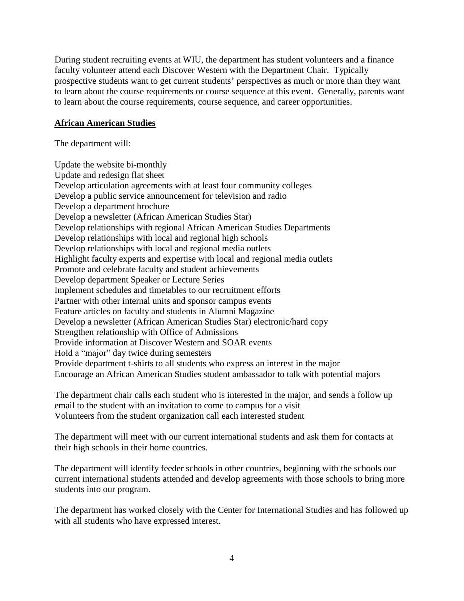During student recruiting events at WIU, the department has student volunteers and a finance faculty volunteer attend each Discover Western with the Department Chair. Typically prospective students want to get current students' perspectives as much or more than they want to learn about the course requirements or course sequence at this event. Generally, parents want to learn about the course requirements, course sequence, and career opportunities.

### **African American Studies**

The department will:

Update the website bi-monthly Update and redesign flat sheet Develop articulation agreements with at least four community colleges Develop a public service announcement for television and radio Develop a department brochure Develop a newsletter (African American Studies Star) Develop relationships with regional African American Studies Departments Develop relationships with local and regional high schools Develop relationships with local and regional media outlets Highlight faculty experts and expertise with local and regional media outlets Promote and celebrate faculty and student achievements Develop department Speaker or Lecture Series Implement schedules and timetables to our recruitment efforts Partner with other internal units and sponsor campus events Feature articles on faculty and students in Alumni Magazine Develop a newsletter (African American Studies Star) electronic/hard copy Strengthen relationship with Office of Admissions Provide information at Discover Western and SOAR events Hold a "major" day twice during semesters Provide department t-shirts to all students who express an interest in the major Encourage an African American Studies student ambassador to talk with potential majors

The department chair calls each student who is interested in the major, and sends a follow up email to the student with an invitation to come to campus for a visit Volunteers from the student organization call each interested student

The department will meet with our current international students and ask them for contacts at their high schools in their home countries.

The department will identify feeder schools in other countries, beginning with the schools our current international students attended and develop agreements with those schools to bring more students into our program.

The department has worked closely with the Center for International Studies and has followed up with all students who have expressed interest.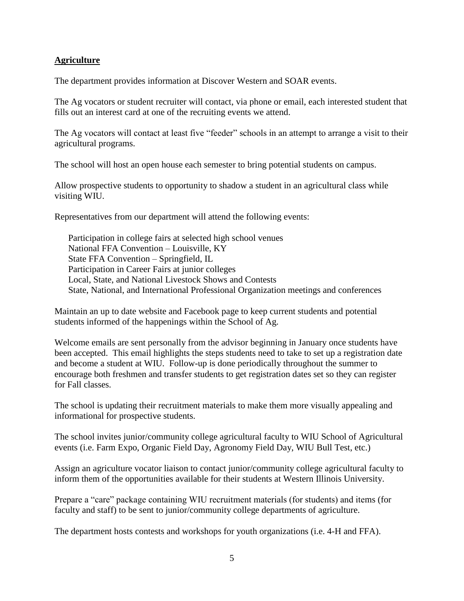# **Agriculture**

The department provides information at Discover Western and SOAR events.

The Ag vocators or student recruiter will contact, via phone or email, each interested student that fills out an interest card at one of the recruiting events we attend.

The Ag vocators will contact at least five "feeder" schools in an attempt to arrange a visit to their agricultural programs.

The school will host an open house each semester to bring potential students on campus.

Allow prospective students to opportunity to shadow a student in an agricultural class while visiting WIU.

Representatives from our department will attend the following events:

Participation in college fairs at selected high school venues National FFA Convention – Louisville, KY State FFA Convention – Springfield, IL Participation in Career Fairs at junior colleges Local, State, and National Livestock Shows and Contests State, National, and International Professional Organization meetings and conferences

Maintain an up to date website and Facebook page to keep current students and potential students informed of the happenings within the School of Ag.

Welcome emails are sent personally from the advisor beginning in January once students have been accepted. This email highlights the steps students need to take to set up a registration date and become a student at WIU. Follow-up is done periodically throughout the summer to encourage both freshmen and transfer students to get registration dates set so they can register for Fall classes.

The school is updating their recruitment materials to make them more visually appealing and informational for prospective students.

The school invites junior/community college agricultural faculty to WIU School of Agricultural events (i.e. Farm Expo, Organic Field Day, Agronomy Field Day, WIU Bull Test, etc.)

Assign an agriculture vocator liaison to contact junior/community college agricultural faculty to inform them of the opportunities available for their students at Western Illinois University.

Prepare a "care" package containing WIU recruitment materials (for students) and items (for faculty and staff) to be sent to junior/community college departments of agriculture.

The department hosts contests and workshops for youth organizations (i.e. 4-H and FFA).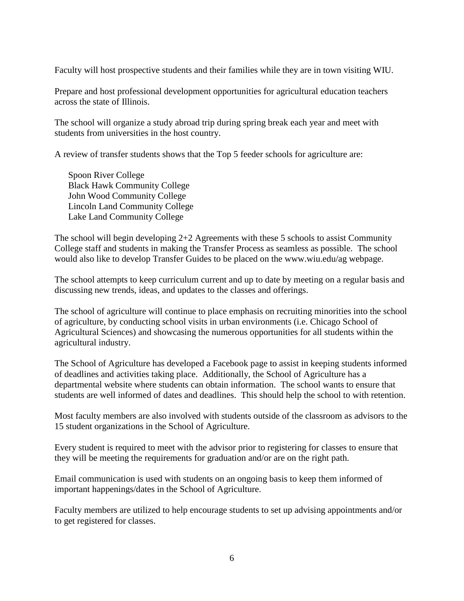Faculty will host prospective students and their families while they are in town visiting WIU.

Prepare and host professional development opportunities for agricultural education teachers across the state of Illinois.

The school will organize a study abroad trip during spring break each year and meet with students from universities in the host country.

A review of transfer students shows that the Top 5 feeder schools for agriculture are:

Spoon River College Black Hawk Community College John Wood Community College Lincoln Land Community College Lake Land Community College

The school will begin developing 2+2 Agreements with these 5 schools to assist Community College staff and students in making the Transfer Process as seamless as possible. The school would also like to develop Transfer Guides to be placed on the www.wiu.edu/ag webpage.

The school attempts to keep curriculum current and up to date by meeting on a regular basis and discussing new trends, ideas, and updates to the classes and offerings.

The school of agriculture will continue to place emphasis on recruiting minorities into the school of agriculture, by conducting school visits in urban environments (i.e. Chicago School of Agricultural Sciences) and showcasing the numerous opportunities for all students within the agricultural industry.

The School of Agriculture has developed a Facebook page to assist in keeping students informed of deadlines and activities taking place. Additionally, the School of Agriculture has a departmental website where students can obtain information. The school wants to ensure that students are well informed of dates and deadlines. This should help the school to with retention.

Most faculty members are also involved with students outside of the classroom as advisors to the 15 student organizations in the School of Agriculture.

Every student is required to meet with the advisor prior to registering for classes to ensure that they will be meeting the requirements for graduation and/or are on the right path.

Email communication is used with students on an ongoing basis to keep them informed of important happenings/dates in the School of Agriculture.

Faculty members are utilized to help encourage students to set up advising appointments and/or to get registered for classes.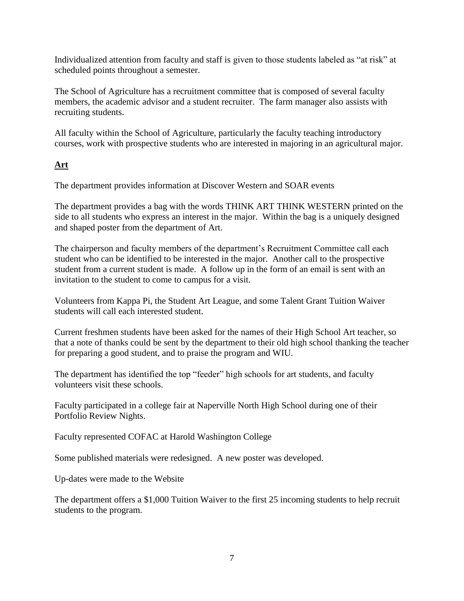Individualized attention from faculty and staff is given to those students labeled as "at risk" at scheduled points throughout a semester.

The School of Agriculture has a recruitment committee that is composed of several faculty members, the academic advisor and a student recruiter. The farm manager also assists with recruiting students.

All faculty within the School of Agriculture, particularly the faculty teaching introductory courses, work with prospective students who are interested in majoring in an agricultural major.

# **Art**

The department provides information at Discover Western and SOAR events

The department provides a bag with the words THINK ART THINK WESTERN printed on the side to all students who express an interest in the major. Within the bag is a uniquely designed and shaped poster from the department of Art.

The chairperson and faculty members of the department's Recruitment Committee call each student who can be identified to be interested in the major. Another call to the prospective student from a current student is made. A follow up in the form of an email is sent with an invitation to the student to come to campus for a visit.

Volunteers from Kappa Pi, the Student Art League, and some Talent Grant Tuition Waiver students will call each interested student.

Current freshmen students have been asked for the names of their High School Art teacher, so that a note of thanks could be sent by the department to their old high school thanking the teacher for preparing a good student, and to praise the program and WIU.

The department has identified the top "feeder" high schools for art students, and faculty volunteers visit these schools.

Faculty participated in a college fair at Naperville North High School during one of their Portfolio Review Nights.

Faculty represented COFAC at Harold Washington College

Some published materials were redesigned. A new poster was developed.

Up-dates were made to the Website

The department offers a \$1,000 Tuition Waiver to the first 25 incoming students to help recruit students to the program.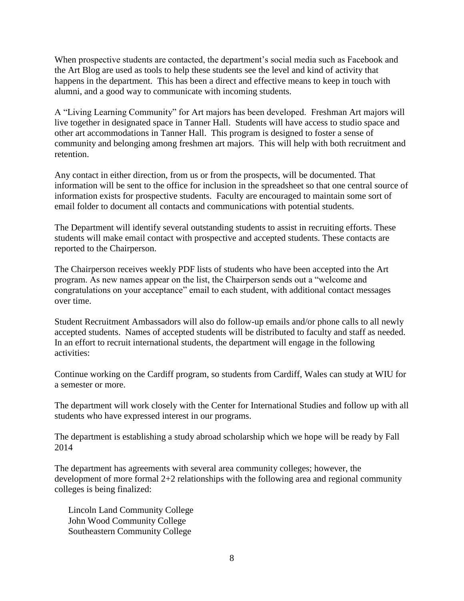When prospective students are contacted, the department's social media such as Facebook and the Art Blog are used as tools to help these students see the level and kind of activity that happens in the department. This has been a direct and effective means to keep in touch with alumni, and a good way to communicate with incoming students.

A "Living Learning Community" for Art majors has been developed. Freshman Art majors will live together in designated space in Tanner Hall. Students will have access to studio space and other art accommodations in Tanner Hall. This program is designed to foster a sense of community and belonging among freshmen art majors. This will help with both recruitment and retention.

Any contact in either direction, from us or from the prospects, will be documented. That information will be sent to the office for inclusion in the spreadsheet so that one central source of information exists for prospective students. Faculty are encouraged to maintain some sort of email folder to document all contacts and communications with potential students.

The Department will identify several outstanding students to assist in recruiting efforts. These students will make email contact with prospective and accepted students. These contacts are reported to the Chairperson.

The Chairperson receives weekly PDF lists of students who have been accepted into the Art program. As new names appear on the list, the Chairperson sends out a "welcome and congratulations on your acceptance" email to each student, with additional contact messages over time.

Student Recruitment Ambassadors will also do follow-up emails and/or phone calls to all newly accepted students. Names of accepted students will be distributed to faculty and staff as needed. In an effort to recruit international students, the department will engage in the following activities:

Continue working on the Cardiff program, so students from Cardiff, Wales can study at WIU for a semester or more.

The department will work closely with the Center for International Studies and follow up with all students who have expressed interest in our programs.

The department is establishing a study abroad scholarship which we hope will be ready by Fall 2014

The department has agreements with several area community colleges; however, the development of more formal 2+2 relationships with the following area and regional community colleges is being finalized:

Lincoln Land Community College John Wood Community College Southeastern Community College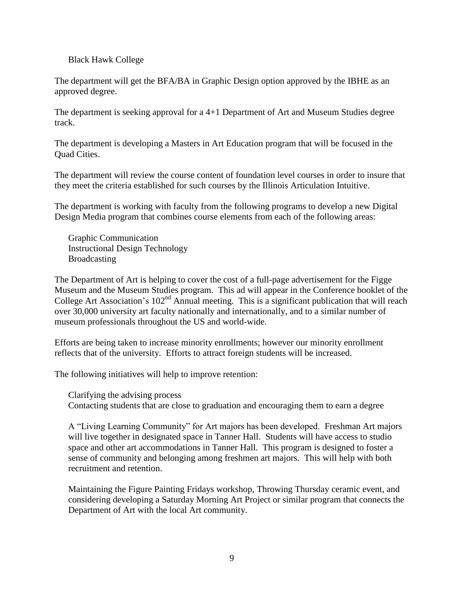#### Black Hawk College

The department will get the BFA/BA in Graphic Design option approved by the IBHE as an approved degree.

The department is seeking approval for a 4+1 Department of Art and Museum Studies degree track.

The department is developing a Masters in Art Education program that will be focused in the Quad Cities.

The department will review the course content of foundation level courses in order to insure that they meet the criteria established for such courses by the Illinois Articulation Intuitive.

The department is working with faculty from the following programs to develop a new Digital Design Media program that combines course elements from each of the following areas:

Graphic Communication Instructional Design Technology Broadcasting

The Department of Art is helping to cover the cost of a full-page advertisement for the Figge Museum and the Museum Studies program. This ad will appear in the Conference booklet of the College Art Association's 102<sup>nd</sup> Annual meeting. This is a significant publication that will reach over 30,000 university art faculty nationally and internationally, and to a similar number of museum professionals throughout the US and world-wide.

Efforts are being taken to increase minority enrollments; however our minority enrollment reflects that of the university. Efforts to attract foreign students will be increased.

The following initiatives will help to improve retention:

Clarifying the advising process Contacting students that are close to graduation and encouraging them to earn a degree

A "Living Learning Community" for Art majors has been developed. Freshman Art majors will live together in designated space in Tanner Hall. Students will have access to studio space and other art accommodations in Tanner Hall. This program is designed to foster a sense of community and belonging among freshmen art majors. This will help with both recruitment and retention.

Maintaining the Figure Painting Fridays workshop, Throwing Thursday ceramic event, and considering developing a Saturday Morning Art Project or similar program that connects the Department of Art with the local Art community.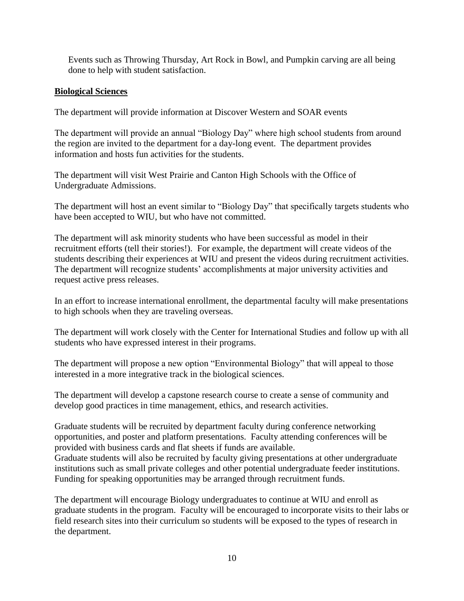Events such as Throwing Thursday, Art Rock in Bowl, and Pumpkin carving are all being done to help with student satisfaction.

# **Biological Sciences**

The department will provide information at Discover Western and SOAR events

The department will provide an annual "Biology Day" where high school students from around the region are invited to the department for a day-long event. The department provides information and hosts fun activities for the students.

The department will visit West Prairie and Canton High Schools with the Office of Undergraduate Admissions.

The department will host an event similar to "Biology Day" that specifically targets students who have been accepted to WIU, but who have not committed.

The department will ask minority students who have been successful as model in their recruitment efforts (tell their stories!). For example, the department will create videos of the students describing their experiences at WIU and present the videos during recruitment activities. The department will recognize students' accomplishments at major university activities and request active press releases.

In an effort to increase international enrollment, the departmental faculty will make presentations to high schools when they are traveling overseas.

The department will work closely with the Center for International Studies and follow up with all students who have expressed interest in their programs.

The department will propose a new option "Environmental Biology" that will appeal to those interested in a more integrative track in the biological sciences.

The department will develop a capstone research course to create a sense of community and develop good practices in time management, ethics, and research activities.

Graduate students will be recruited by department faculty during conference networking opportunities, and poster and platform presentations. Faculty attending conferences will be provided with business cards and flat sheets if funds are available.

Graduate students will also be recruited by faculty giving presentations at other undergraduate institutions such as small private colleges and other potential undergraduate feeder institutions. Funding for speaking opportunities may be arranged through recruitment funds.

The department will encourage Biology undergraduates to continue at WIU and enroll as graduate students in the program. Faculty will be encouraged to incorporate visits to their labs or field research sites into their curriculum so students will be exposed to the types of research in the department.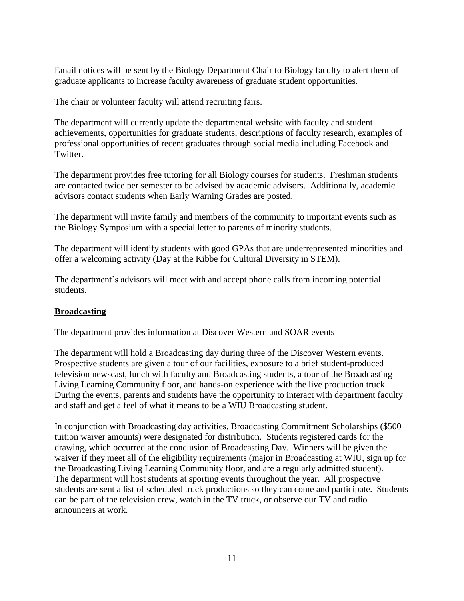Email notices will be sent by the Biology Department Chair to Biology faculty to alert them of graduate applicants to increase faculty awareness of graduate student opportunities.

The chair or volunteer faculty will attend recruiting fairs.

The department will currently update the departmental website with faculty and student achievements, opportunities for graduate students, descriptions of faculty research, examples of professional opportunities of recent graduates through social media including Facebook and Twitter.

The department provides free tutoring for all Biology courses for students. Freshman students are contacted twice per semester to be advised by academic advisors. Additionally, academic advisors contact students when Early Warning Grades are posted.

The department will invite family and members of the community to important events such as the Biology Symposium with a special letter to parents of minority students.

The department will identify students with good GPAs that are underrepresented minorities and offer a welcoming activity (Day at the Kibbe for Cultural Diversity in STEM).

The department's advisors will meet with and accept phone calls from incoming potential students.

# **Broadcasting**

The department provides information at Discover Western and SOAR events

The department will hold a Broadcasting day during three of the Discover Western events. Prospective students are given a tour of our facilities, exposure to a brief student-produced television newscast, lunch with faculty and Broadcasting students, a tour of the Broadcasting Living Learning Community floor, and hands-on experience with the live production truck. During the events, parents and students have the opportunity to interact with department faculty and staff and get a feel of what it means to be a WIU Broadcasting student.

In conjunction with Broadcasting day activities, Broadcasting Commitment Scholarships (\$500 tuition waiver amounts) were designated for distribution. Students registered cards for the drawing, which occurred at the conclusion of Broadcasting Day. Winners will be given the waiver if they meet all of the eligibility requirements (major in Broadcasting at WIU, sign up for the Broadcasting Living Learning Community floor, and are a regularly admitted student). The department will host students at sporting events throughout the year. All prospective students are sent a list of scheduled truck productions so they can come and participate. Students can be part of the television crew, watch in the TV truck, or observe our TV and radio announcers at work.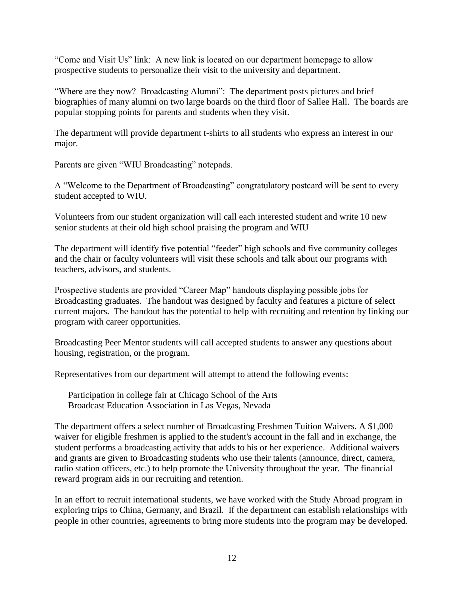"Come and Visit Us" link: A new link is located on our department homepage to allow prospective students to personalize their visit to the university and department.

"Where are they now? Broadcasting Alumni": The department posts pictures and brief biographies of many alumni on two large boards on the third floor of Sallee Hall. The boards are popular stopping points for parents and students when they visit.

The department will provide department t-shirts to all students who express an interest in our major.

Parents are given "WIU Broadcasting" notepads.

A "Welcome to the Department of Broadcasting" congratulatory postcard will be sent to every student accepted to WIU.

Volunteers from our student organization will call each interested student and write 10 new senior students at their old high school praising the program and WIU

The department will identify five potential "feeder" high schools and five community colleges and the chair or faculty volunteers will visit these schools and talk about our programs with teachers, advisors, and students.

Prospective students are provided "Career Map" handouts displaying possible jobs for Broadcasting graduates. The handout was designed by faculty and features a picture of select current majors. The handout has the potential to help with recruiting and retention by linking our program with career opportunities.

Broadcasting Peer Mentor students will call accepted students to answer any questions about housing, registration, or the program.

Representatives from our department will attempt to attend the following events:

Participation in college fair at Chicago School of the Arts Broadcast Education Association in Las Vegas, Nevada

The department offers a select number of Broadcasting Freshmen Tuition Waivers. A \$1,000 waiver for eligible freshmen is applied to the student's account in the fall and in exchange, the student performs a broadcasting activity that adds to his or her experience. Additional waivers and grants are given to Broadcasting students who use their talents (announce, direct, camera, radio station officers, etc.) to help promote the University throughout the year. The financial reward program aids in our recruiting and retention.

In an effort to recruit international students, we have worked with the Study Abroad program in exploring trips to China, Germany, and Brazil. If the department can establish relationships with people in other countries, agreements to bring more students into the program may be developed.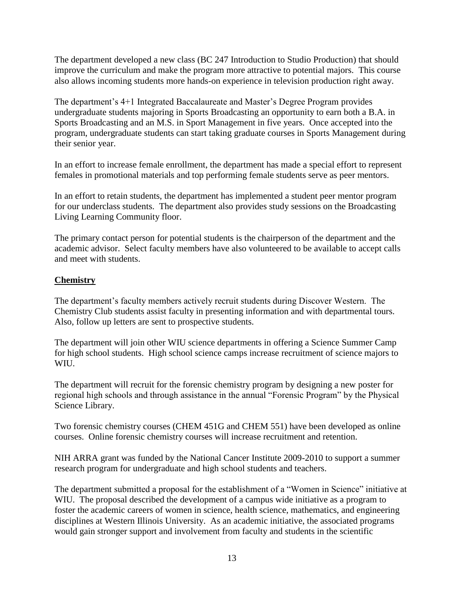The department developed a new class (BC 247 Introduction to Studio Production) that should improve the curriculum and make the program more attractive to potential majors. This course also allows incoming students more hands-on experience in television production right away.

The department's 4+1 Integrated Baccalaureate and Master's Degree Program provides undergraduate students majoring in Sports Broadcasting an opportunity to earn both a B.A. in Sports Broadcasting and an M.S. in Sport Management in five years. Once accepted into the program, undergraduate students can start taking graduate courses in Sports Management during their senior year.

In an effort to increase female enrollment, the department has made a special effort to represent females in promotional materials and top performing female students serve as peer mentors.

In an effort to retain students, the department has implemented a student peer mentor program for our underclass students. The department also provides study sessions on the Broadcasting Living Learning Community floor.

The primary contact person for potential students is the chairperson of the department and the academic advisor. Select faculty members have also volunteered to be available to accept calls and meet with students.

# **Chemistry**

The department's faculty members actively recruit students during Discover Western. The Chemistry Club students assist faculty in presenting information and with departmental tours. Also, follow up letters are sent to prospective students.

The department will join other WIU science departments in offering a Science Summer Camp for high school students. High school science camps increase recruitment of science majors to WIU.

The department will recruit for the forensic chemistry program by designing a new poster for regional high schools and through assistance in the annual "Forensic Program" by the Physical Science Library.

Two forensic chemistry courses (CHEM 451G and CHEM 551) have been developed as online courses. Online forensic chemistry courses will increase recruitment and retention.

NIH ARRA grant was funded by the National Cancer Institute 2009-2010 to support a summer research program for undergraduate and high school students and teachers.

The department submitted a proposal for the establishment of a "Women in Science" initiative at WIU. The proposal described the development of a campus wide initiative as a program to foster the academic careers of women in science, health science, mathematics, and engineering disciplines at Western Illinois University. As an academic initiative, the associated programs would gain stronger support and involvement from faculty and students in the scientific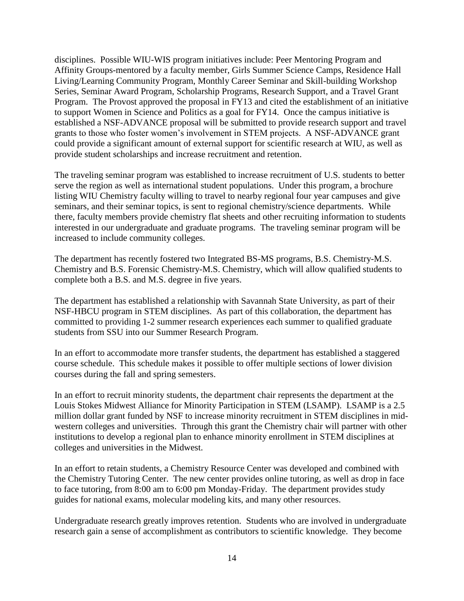disciplines. Possible WIU-WIS program initiatives include: Peer Mentoring Program and Affinity Groups-mentored by a faculty member, Girls Summer Science Camps, Residence Hall Living/Learning Community Program, Monthly Career Seminar and Skill-building Workshop Series, Seminar Award Program, Scholarship Programs, Research Support, and a Travel Grant Program. The Provost approved the proposal in FY13 and cited the establishment of an initiative to support Women in Science and Politics as a goal for FY14. Once the campus initiative is established a NSF-ADVANCE proposal will be submitted to provide research support and travel grants to those who foster women's involvement in STEM projects. A NSF-ADVANCE grant could provide a significant amount of external support for scientific research at WIU, as well as provide student scholarships and increase recruitment and retention.

The traveling seminar program was established to increase recruitment of U.S. students to better serve the region as well as international student populations. Under this program, a brochure listing WIU Chemistry faculty willing to travel to nearby regional four year campuses and give seminars, and their seminar topics, is sent to regional chemistry/science departments. While there, faculty members provide chemistry flat sheets and other recruiting information to students interested in our undergraduate and graduate programs. The traveling seminar program will be increased to include community colleges.

The department has recently fostered two Integrated BS-MS programs, B.S. Chemistry-M.S. Chemistry and B.S. Forensic Chemistry-M.S. Chemistry, which will allow qualified students to complete both a B.S. and M.S. degree in five years.

The department has established a relationship with Savannah State University, as part of their NSF-HBCU program in STEM disciplines. As part of this collaboration, the department has committed to providing 1-2 summer research experiences each summer to qualified graduate students from SSU into our Summer Research Program.

In an effort to accommodate more transfer students, the department has established a staggered course schedule. This schedule makes it possible to offer multiple sections of lower division courses during the fall and spring semesters.

In an effort to recruit minority students, the department chair represents the department at the Louis Stokes Midwest Alliance for Minority Participation in STEM (LSAMP). LSAMP is a 2.5 million dollar grant funded by NSF to increase minority recruitment in STEM disciplines in midwestern colleges and universities. Through this grant the Chemistry chair will partner with other institutions to develop a regional plan to enhance minority enrollment in STEM disciplines at colleges and universities in the Midwest.

In an effort to retain students, a Chemistry Resource Center was developed and combined with the Chemistry Tutoring Center. The new center provides online tutoring, as well as drop in face to face tutoring, from 8:00 am to 6:00 pm Monday-Friday. The department provides study guides for national exams, molecular modeling kits, and many other resources.

Undergraduate research greatly improves retention. Students who are involved in undergraduate research gain a sense of accomplishment as contributors to scientific knowledge. They become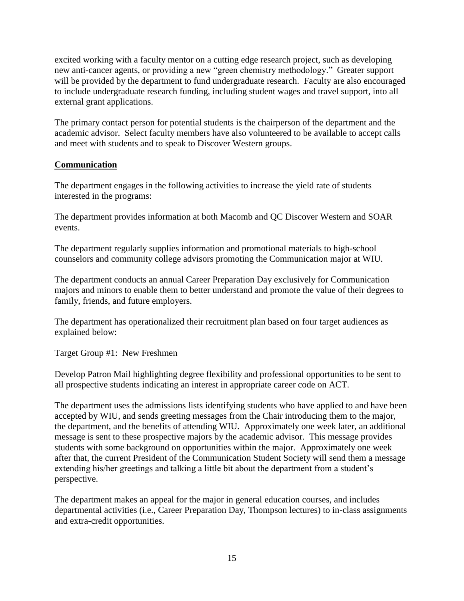excited working with a faculty mentor on a cutting edge research project, such as developing new anti-cancer agents, or providing a new "green chemistry methodology." Greater support will be provided by the department to fund undergraduate research. Faculty are also encouraged to include undergraduate research funding, including student wages and travel support, into all external grant applications.

The primary contact person for potential students is the chairperson of the department and the academic advisor. Select faculty members have also volunteered to be available to accept calls and meet with students and to speak to Discover Western groups.

# **Communication**

The department engages in the following activities to increase the yield rate of students interested in the programs:

The department provides information at both Macomb and QC Discover Western and SOAR events.

The department regularly supplies information and promotional materials to high-school counselors and community college advisors promoting the Communication major at WIU.

The department conducts an annual Career Preparation Day exclusively for Communication majors and minors to enable them to better understand and promote the value of their degrees to family, friends, and future employers.

The department has operationalized their recruitment plan based on four target audiences as explained below:

Target Group #1: New Freshmen

Develop Patron Mail highlighting degree flexibility and professional opportunities to be sent to all prospective students indicating an interest in appropriate career code on ACT.

The department uses the admissions lists identifying students who have applied to and have been accepted by WIU, and sends greeting messages from the Chair introducing them to the major, the department, and the benefits of attending WIU. Approximately one week later, an additional message is sent to these prospective majors by the academic advisor. This message provides students with some background on opportunities within the major. Approximately one week after that, the current President of the Communication Student Society will send them a message extending his/her greetings and talking a little bit about the department from a student's perspective.

The department makes an appeal for the major in general education courses, and includes departmental activities (i.e., Career Preparation Day, Thompson lectures) to in-class assignments and extra-credit opportunities.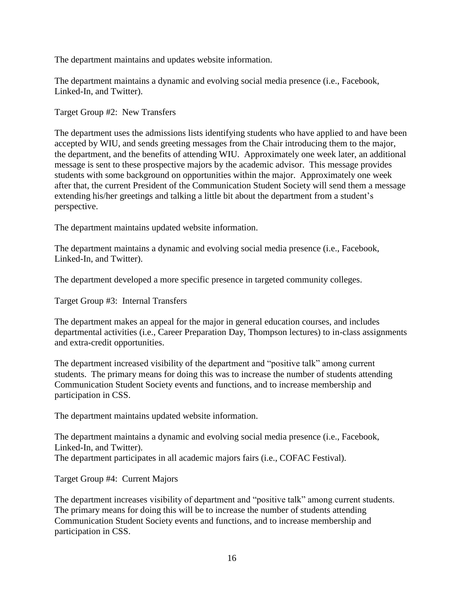The department maintains and updates website information.

The department maintains a dynamic and evolving social media presence (i.e., Facebook, Linked-In, and Twitter).

Target Group #2: New Transfers

The department uses the admissions lists identifying students who have applied to and have been accepted by WIU, and sends greeting messages from the Chair introducing them to the major, the department, and the benefits of attending WIU. Approximately one week later, an additional message is sent to these prospective majors by the academic advisor. This message provides students with some background on opportunities within the major. Approximately one week after that, the current President of the Communication Student Society will send them a message extending his/her greetings and talking a little bit about the department from a student's perspective.

The department maintains updated website information.

The department maintains a dynamic and evolving social media presence (i.e., Facebook, Linked-In, and Twitter).

The department developed a more specific presence in targeted community colleges.

Target Group #3: Internal Transfers

The department makes an appeal for the major in general education courses, and includes departmental activities (i.e., Career Preparation Day, Thompson lectures) to in-class assignments and extra-credit opportunities.

The department increased visibility of the department and "positive talk" among current students. The primary means for doing this was to increase the number of students attending Communication Student Society events and functions, and to increase membership and participation in CSS.

The department maintains updated website information.

The department maintains a dynamic and evolving social media presence (i.e., Facebook, Linked-In, and Twitter). The department participates in all academic majors fairs (i.e., COFAC Festival).

Target Group #4: Current Majors

The department increases visibility of department and "positive talk" among current students. The primary means for doing this will be to increase the number of students attending Communication Student Society events and functions, and to increase membership and participation in CSS.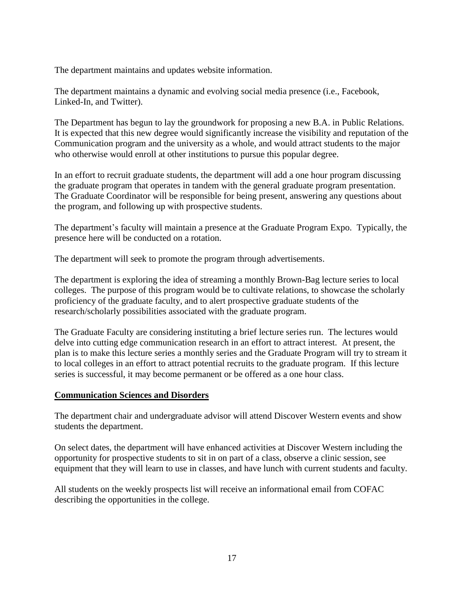The department maintains and updates website information.

The department maintains a dynamic and evolving social media presence (i.e., Facebook, Linked-In, and Twitter).

The Department has begun to lay the groundwork for proposing a new B.A. in Public Relations. It is expected that this new degree would significantly increase the visibility and reputation of the Communication program and the university as a whole, and would attract students to the major who otherwise would enroll at other institutions to pursue this popular degree.

In an effort to recruit graduate students, the department will add a one hour program discussing the graduate program that operates in tandem with the general graduate program presentation. The Graduate Coordinator will be responsible for being present, answering any questions about the program, and following up with prospective students.

The department's faculty will maintain a presence at the Graduate Program Expo. Typically, the presence here will be conducted on a rotation.

The department will seek to promote the program through advertisements.

The department is exploring the idea of streaming a monthly Brown-Bag lecture series to local colleges. The purpose of this program would be to cultivate relations, to showcase the scholarly proficiency of the graduate faculty, and to alert prospective graduate students of the research/scholarly possibilities associated with the graduate program.

The Graduate Faculty are considering instituting a brief lecture series run. The lectures would delve into cutting edge communication research in an effort to attract interest. At present, the plan is to make this lecture series a monthly series and the Graduate Program will try to stream it to local colleges in an effort to attract potential recruits to the graduate program. If this lecture series is successful, it may become permanent or be offered as a one hour class.

#### **Communication Sciences and Disorders**

The department chair and undergraduate advisor will attend Discover Western events and show students the department.

On select dates, the department will have enhanced activities at Discover Western including the opportunity for prospective students to sit in on part of a class, observe a clinic session, see equipment that they will learn to use in classes, and have lunch with current students and faculty.

All students on the weekly prospects list will receive an informational email from COFAC describing the opportunities in the college.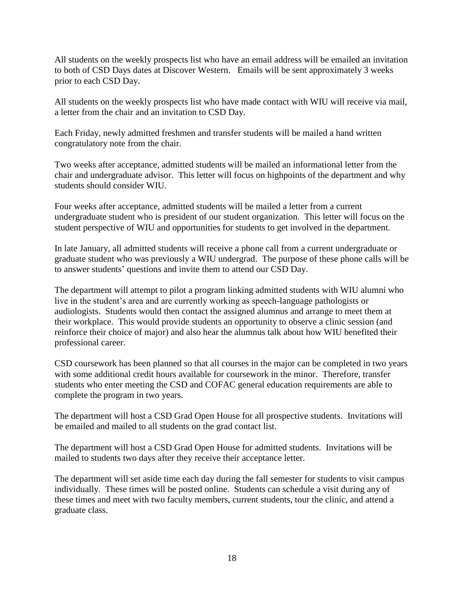All students on the weekly prospects list who have an email address will be emailed an invitation to both of CSD Days dates at Discover Western. Emails will be sent approximately 3 weeks prior to each CSD Day.

All students on the weekly prospects list who have made contact with WIU will receive via mail, a letter from the chair and an invitation to CSD Day.

Each Friday, newly admitted freshmen and transfer students will be mailed a hand written congratulatory note from the chair.

Two weeks after acceptance, admitted students will be mailed an informational letter from the chair and undergraduate advisor. This letter will focus on highpoints of the department and why students should consider WIU.

Four weeks after acceptance, admitted students will be mailed a letter from a current undergraduate student who is president of our student organization. This letter will focus on the student perspective of WIU and opportunities for students to get involved in the department.

In late January, all admitted students will receive a phone call from a current undergraduate or graduate student who was previously a WIU undergrad. The purpose of these phone calls will be to answer students' questions and invite them to attend our CSD Day.

The department will attempt to pilot a program linking admitted students with WIU alumni who live in the student's area and are currently working as speech-language pathologists or audiologists. Students would then contact the assigned alumnus and arrange to meet them at their workplace. This would provide students an opportunity to observe a clinic session (and reinforce their choice of major) and also hear the alumnus talk about how WIU benefited their professional career.

CSD coursework has been planned so that all courses in the major can be completed in two years with some additional credit hours available for coursework in the minor. Therefore, transfer students who enter meeting the CSD and COFAC general education requirements are able to complete the program in two years.

The department will host a CSD Grad Open House for all prospective students. Invitations will be emailed and mailed to all students on the grad contact list.

The department will host a CSD Grad Open House for admitted students. Invitations will be mailed to students two days after they receive their acceptance letter.

The department will set aside time each day during the fall semester for students to visit campus individually. These times will be posted online. Students can schedule a visit during any of these times and meet with two faculty members, current students, tour the clinic, and attend a graduate class.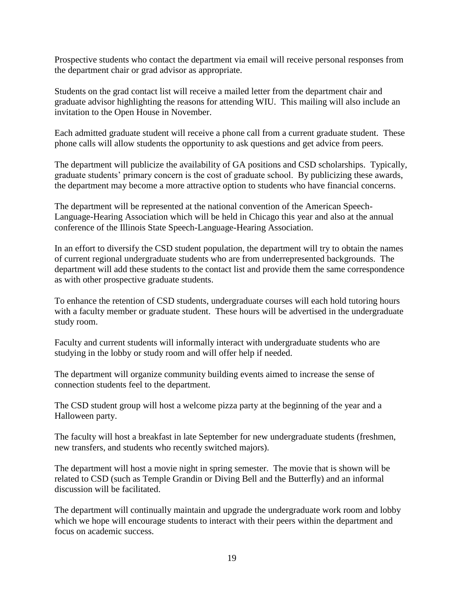Prospective students who contact the department via email will receive personal responses from the department chair or grad advisor as appropriate.

Students on the grad contact list will receive a mailed letter from the department chair and graduate advisor highlighting the reasons for attending WIU. This mailing will also include an invitation to the Open House in November.

Each admitted graduate student will receive a phone call from a current graduate student. These phone calls will allow students the opportunity to ask questions and get advice from peers.

The department will publicize the availability of GA positions and CSD scholarships. Typically, graduate students' primary concern is the cost of graduate school. By publicizing these awards, the department may become a more attractive option to students who have financial concerns.

The department will be represented at the national convention of the American Speech-Language-Hearing Association which will be held in Chicago this year and also at the annual conference of the Illinois State Speech-Language-Hearing Association.

In an effort to diversify the CSD student population, the department will try to obtain the names of current regional undergraduate students who are from underrepresented backgrounds. The department will add these students to the contact list and provide them the same correspondence as with other prospective graduate students.

To enhance the retention of CSD students, undergraduate courses will each hold tutoring hours with a faculty member or graduate student. These hours will be advertised in the undergraduate study room.

Faculty and current students will informally interact with undergraduate students who are studying in the lobby or study room and will offer help if needed.

The department will organize community building events aimed to increase the sense of connection students feel to the department.

The CSD student group will host a welcome pizza party at the beginning of the year and a Halloween party.

The faculty will host a breakfast in late September for new undergraduate students (freshmen, new transfers, and students who recently switched majors).

The department will host a movie night in spring semester. The movie that is shown will be related to CSD (such as Temple Grandin or Diving Bell and the Butterfly) and an informal discussion will be facilitated.

The department will continually maintain and upgrade the undergraduate work room and lobby which we hope will encourage students to interact with their peers within the department and focus on academic success.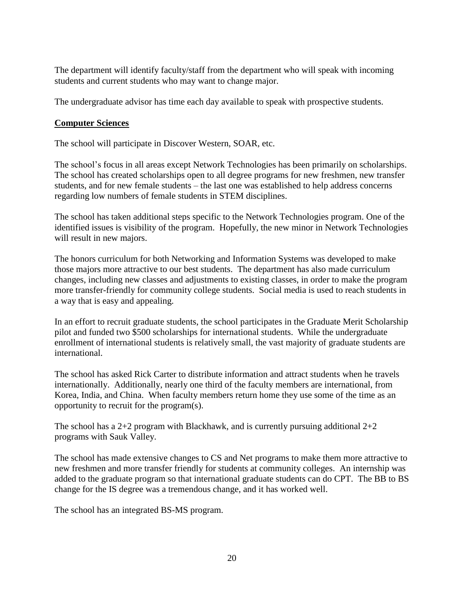The department will identify faculty/staff from the department who will speak with incoming students and current students who may want to change major.

The undergraduate advisor has time each day available to speak with prospective students.

# **Computer Sciences**

The school will participate in Discover Western, SOAR, etc.

The school's focus in all areas except Network Technologies has been primarily on scholarships. The school has created scholarships open to all degree programs for new freshmen, new transfer students, and for new female students – the last one was established to help address concerns regarding low numbers of female students in STEM disciplines.

The school has taken additional steps specific to the Network Technologies program. One of the identified issues is visibility of the program. Hopefully, the new minor in Network Technologies will result in new majors.

The honors curriculum for both Networking and Information Systems was developed to make those majors more attractive to our best students. The department has also made curriculum changes, including new classes and adjustments to existing classes, in order to make the program more transfer-friendly for community college students. Social media is used to reach students in a way that is easy and appealing.

In an effort to recruit graduate students, the school participates in the Graduate Merit Scholarship pilot and funded two \$500 scholarships for international students. While the undergraduate enrollment of international students is relatively small, the vast majority of graduate students are international.

The school has asked Rick Carter to distribute information and attract students when he travels internationally. Additionally, nearly one third of the faculty members are international, from Korea, India, and China. When faculty members return home they use some of the time as an opportunity to recruit for the program(s).

The school has a 2+2 program with Blackhawk, and is currently pursuing additional  $2+2$ programs with Sauk Valley.

The school has made extensive changes to CS and Net programs to make them more attractive to new freshmen and more transfer friendly for students at community colleges. An internship was added to the graduate program so that international graduate students can do CPT. The BB to BS change for the IS degree was a tremendous change, and it has worked well.

The school has an integrated BS-MS program.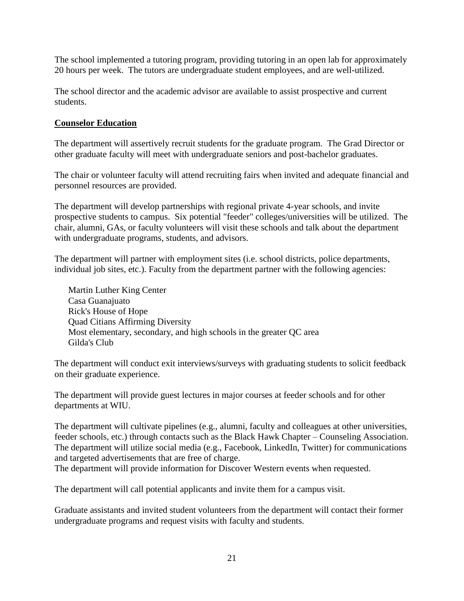The school implemented a tutoring program, providing tutoring in an open lab for approximately 20 hours per week. The tutors are undergraduate student employees, and are well-utilized.

The school director and the academic advisor are available to assist prospective and current students.

# **Counselor Education**

The department will assertively recruit students for the graduate program. The Grad Director or other graduate faculty will meet with undergraduate seniors and post-bachelor graduates.

The chair or volunteer faculty will attend recruiting fairs when invited and adequate financial and personnel resources are provided.

The department will develop partnerships with regional private 4-year schools, and invite prospective students to campus. Six potential "feeder" colleges/universities will be utilized. The chair, alumni, GAs, or faculty volunteers will visit these schools and talk about the department with undergraduate programs, students, and advisors.

The department will partner with employment sites (i.e. school districts, police departments, individual job sites, etc.). Faculty from the department partner with the following agencies:

Martin Luther King Center Casa Guanajuato Rick's House of Hope Quad Citians Affirming Diversity Most elementary, secondary, and high schools in the greater QC area Gilda's Club

The department will conduct exit interviews/surveys with graduating students to solicit feedback on their graduate experience.

The department will provide guest lectures in major courses at feeder schools and for other departments at WIU.

The department will cultivate pipelines (e.g., alumni, faculty and colleagues at other universities, feeder schools, etc.) through contacts such as the Black Hawk Chapter – Counseling Association. The department will utilize social media (e.g., Facebook, LinkedIn, Twitter) for communications and targeted advertisements that are free of charge.

The department will provide information for Discover Western events when requested.

The department will call potential applicants and invite them for a campus visit.

Graduate assistants and invited student volunteers from the department will contact their former undergraduate programs and request visits with faculty and students.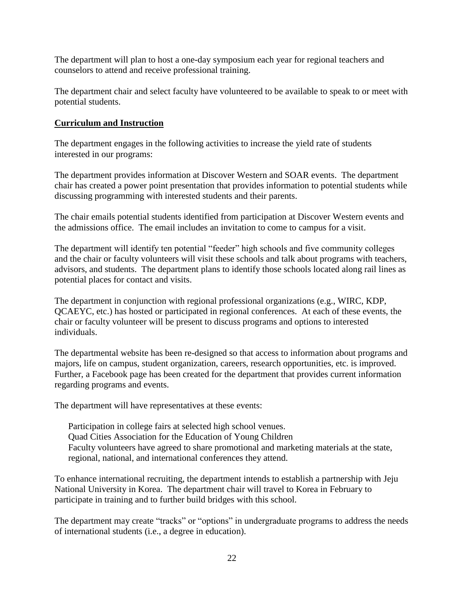The department will plan to host a one-day symposium each year for regional teachers and counselors to attend and receive professional training.

The department chair and select faculty have volunteered to be available to speak to or meet with potential students.

# **Curriculum and Instruction**

The department engages in the following activities to increase the yield rate of students interested in our programs:

The department provides information at Discover Western and SOAR events. The department chair has created a power point presentation that provides information to potential students while discussing programming with interested students and their parents.

The chair emails potential students identified from participation at Discover Western events and the admissions office. The email includes an invitation to come to campus for a visit.

The department will identify ten potential "feeder" high schools and five community colleges and the chair or faculty volunteers will visit these schools and talk about programs with teachers, advisors, and students. The department plans to identify those schools located along rail lines as potential places for contact and visits.

The department in conjunction with regional professional organizations (e.g., WIRC, KDP, QCAEYC, etc.) has hosted or participated in regional conferences. At each of these events, the chair or faculty volunteer will be present to discuss programs and options to interested individuals.

The departmental website has been re-designed so that access to information about programs and majors, life on campus, student organization, careers, research opportunities, etc. is improved. Further, a Facebook page has been created for the department that provides current information regarding programs and events.

The department will have representatives at these events:

Participation in college fairs at selected high school venues. Quad Cities Association for the Education of Young Children Faculty volunteers have agreed to share promotional and marketing materials at the state, regional, national, and international conferences they attend.

To enhance international recruiting, the department intends to establish a partnership with Jeju National University in Korea. The department chair will travel to Korea in February to participate in training and to further build bridges with this school.

The department may create "tracks" or "options" in undergraduate programs to address the needs of international students (i.e., a degree in education).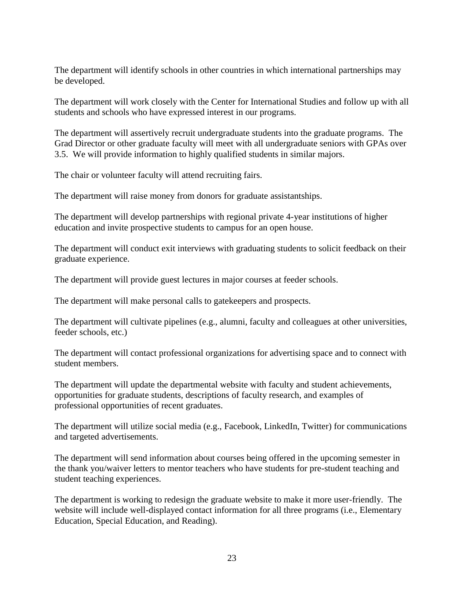The department will identify schools in other countries in which international partnerships may be developed.

The department will work closely with the Center for International Studies and follow up with all students and schools who have expressed interest in our programs.

The department will assertively recruit undergraduate students into the graduate programs. The Grad Director or other graduate faculty will meet with all undergraduate seniors with GPAs over 3.5. We will provide information to highly qualified students in similar majors.

The chair or volunteer faculty will attend recruiting fairs.

The department will raise money from donors for graduate assistantships.

The department will develop partnerships with regional private 4-year institutions of higher education and invite prospective students to campus for an open house.

The department will conduct exit interviews with graduating students to solicit feedback on their graduate experience.

The department will provide guest lectures in major courses at feeder schools.

The department will make personal calls to gatekeepers and prospects.

The department will cultivate pipelines (e.g., alumni, faculty and colleagues at other universities, feeder schools, etc.)

The department will contact professional organizations for advertising space and to connect with student members.

The department will update the departmental website with faculty and student achievements, opportunities for graduate students, descriptions of faculty research, and examples of professional opportunities of recent graduates.

The department will utilize social media (e.g., Facebook, LinkedIn, Twitter) for communications and targeted advertisements.

The department will send information about courses being offered in the upcoming semester in the thank you/waiver letters to mentor teachers who have students for pre-student teaching and student teaching experiences.

The department is working to redesign the graduate website to make it more user-friendly. The website will include well-displayed contact information for all three programs (i.e., Elementary Education, Special Education, and Reading).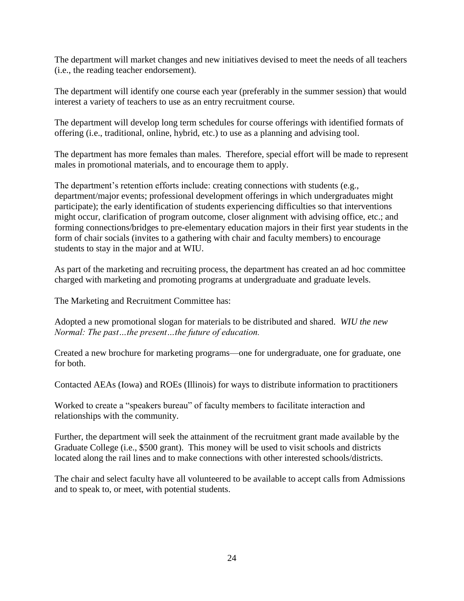The department will market changes and new initiatives devised to meet the needs of all teachers (i.e., the reading teacher endorsement).

The department will identify one course each year (preferably in the summer session) that would interest a variety of teachers to use as an entry recruitment course.

The department will develop long term schedules for course offerings with identified formats of offering (i.e., traditional, online, hybrid, etc.) to use as a planning and advising tool.

The department has more females than males. Therefore, special effort will be made to represent males in promotional materials, and to encourage them to apply.

The department's retention efforts include: creating connections with students (e.g., department/major events; professional development offerings in which undergraduates might participate); the early identification of students experiencing difficulties so that interventions might occur, clarification of program outcome, closer alignment with advising office, etc.; and forming connections/bridges to pre-elementary education majors in their first year students in the form of chair socials (invites to a gathering with chair and faculty members) to encourage students to stay in the major and at WIU.

As part of the marketing and recruiting process, the department has created an ad hoc committee charged with marketing and promoting programs at undergraduate and graduate levels.

The Marketing and Recruitment Committee has:

Adopted a new promotional slogan for materials to be distributed and shared. *WIU the new Normal: The past…the present…the future of education.*

Created a new brochure for marketing programs—one for undergraduate, one for graduate, one for both.

Contacted AEAs (Iowa) and ROEs (Illinois) for ways to distribute information to practitioners

Worked to create a "speakers bureau" of faculty members to facilitate interaction and relationships with the community.

Further, the department will seek the attainment of the recruitment grant made available by the Graduate College (i.e., \$500 grant). This money will be used to visit schools and districts located along the rail lines and to make connections with other interested schools/districts.

The chair and select faculty have all volunteered to be available to accept calls from Admissions and to speak to, or meet, with potential students.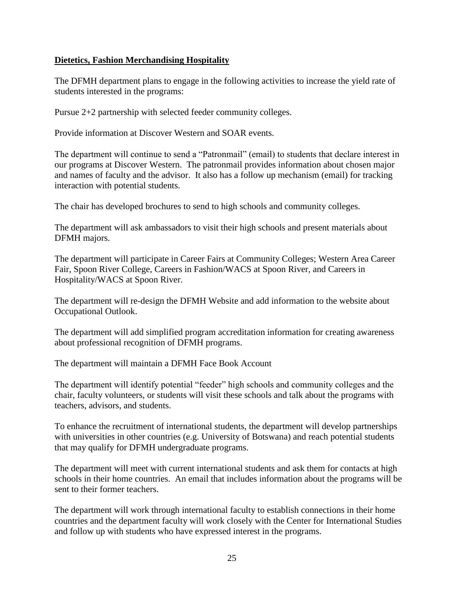# **Dietetics, Fashion Merchandising Hospitality**

The DFMH department plans to engage in the following activities to increase the yield rate of students interested in the programs:

Pursue 2+2 partnership with selected feeder community colleges.

Provide information at Discover Western and SOAR events.

The department will continue to send a "Patronmail" (email) to students that declare interest in our programs at Discover Western. The patronmail provides information about chosen major and names of faculty and the advisor. It also has a follow up mechanism (email) for tracking interaction with potential students.

The chair has developed brochures to send to high schools and community colleges.

The department will ask ambassadors to visit their high schools and present materials about DFMH majors.

The department will participate in Career Fairs at Community Colleges; Western Area Career Fair, Spoon River College, Careers in Fashion/WACS at Spoon River, and Careers in Hospitality/WACS at Spoon River.

The department will re-design the DFMH Website and add information to the website about Occupational Outlook.

The department will add simplified program accreditation information for creating awareness about professional recognition of DFMH programs.

The department will maintain a DFMH Face Book Account

The department will identify potential "feeder" high schools and community colleges and the chair, faculty volunteers, or students will visit these schools and talk about the programs with teachers, advisors, and students.

To enhance the recruitment of international students, the department will develop partnerships with universities in other countries (e.g. University of Botswana) and reach potential students that may qualify for DFMH undergraduate programs.

The department will meet with current international students and ask them for contacts at high schools in their home countries. An email that includes information about the programs will be sent to their former teachers.

The department will work through international faculty to establish connections in their home countries and the department faculty will work closely with the Center for International Studies and follow up with students who have expressed interest in the programs.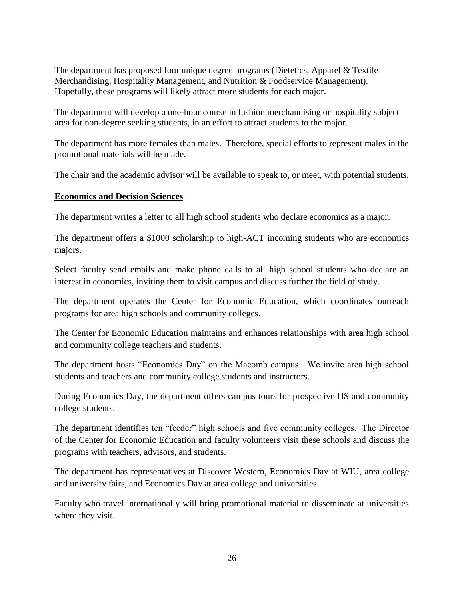The department has proposed four unique degree programs (Dietetics, Apparel & Textile Merchandising, Hospitality Management, and Nutrition & Foodservice Management). Hopefully, these programs will likely attract more students for each major.

The department will develop a one-hour course in fashion merchandising or hospitality subject area for non-degree seeking students, in an effort to attract students to the major.

The department has more females than males. Therefore, special efforts to represent males in the promotional materials will be made.

The chair and the academic advisor will be available to speak to, or meet, with potential students.

# **Economics and Decision Sciences**

The department writes a letter to all high school students who declare economics as a major.

The department offers a \$1000 scholarship to high-ACT incoming students who are economics majors.

Select faculty send emails and make phone calls to all high school students who declare an interest in economics, inviting them to visit campus and discuss further the field of study.

The department operates the Center for Economic Education, which coordinates outreach programs for area high schools and community colleges.

The Center for Economic Education maintains and enhances relationships with area high school and community college teachers and students.

The department hosts "Economics Day" on the Macomb campus. We invite area high school students and teachers and community college students and instructors.

During Economics Day, the department offers campus tours for prospective HS and community college students.

The department identifies ten "feeder" high schools and five community colleges. The Director of the Center for Economic Education and faculty volunteers visit these schools and discuss the programs with teachers, advisors, and students.

The department has representatives at Discover Western, Economics Day at WIU, area college and university fairs, and Economics Day at area college and universities.

Faculty who travel internationally will bring promotional material to disseminate at universities where they visit.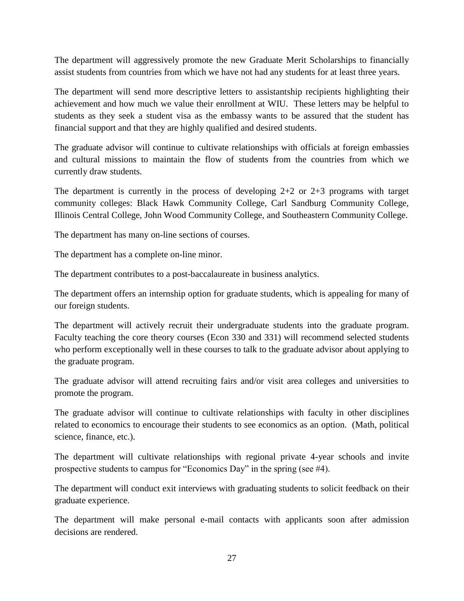The department will aggressively promote the new Graduate Merit Scholarships to financially assist students from countries from which we have not had any students for at least three years.

The department will send more descriptive letters to assistantship recipients highlighting their achievement and how much we value their enrollment at WIU. These letters may be helpful to students as they seek a student visa as the embassy wants to be assured that the student has financial support and that they are highly qualified and desired students.

The graduate advisor will continue to cultivate relationships with officials at foreign embassies and cultural missions to maintain the flow of students from the countries from which we currently draw students.

The department is currently in the process of developing  $2+2$  or  $2+3$  programs with target community colleges: Black Hawk Community College, Carl Sandburg Community College, Illinois Central College, John Wood Community College, and Southeastern Community College.

The department has many on-line sections of courses.

The department has a complete on-line minor.

The department contributes to a post-baccalaureate in business analytics.

The department offers an internship option for graduate students, which is appealing for many of our foreign students.

The department will actively recruit their undergraduate students into the graduate program. Faculty teaching the core theory courses (Econ 330 and 331) will recommend selected students who perform exceptionally well in these courses to talk to the graduate advisor about applying to the graduate program.

The graduate advisor will attend recruiting fairs and/or visit area colleges and universities to promote the program.

The graduate advisor will continue to cultivate relationships with faculty in other disciplines related to economics to encourage their students to see economics as an option. (Math, political science, finance, etc.).

The department will cultivate relationships with regional private 4-year schools and invite prospective students to campus for "Economics Day" in the spring (see #4).

The department will conduct exit interviews with graduating students to solicit feedback on their graduate experience.

The department will make personal e-mail contacts with applicants soon after admission decisions are rendered.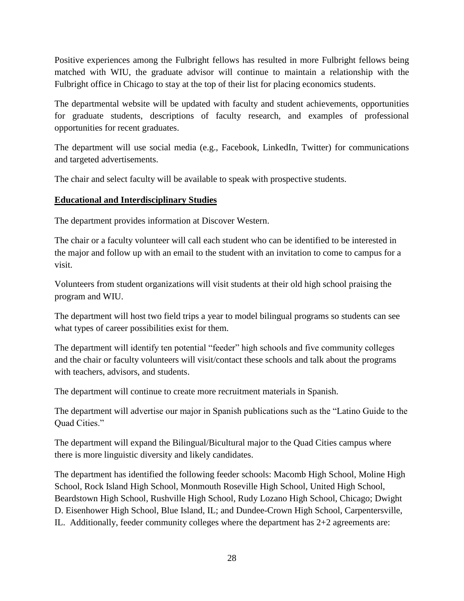Positive experiences among the Fulbright fellows has resulted in more Fulbright fellows being matched with WIU, the graduate advisor will continue to maintain a relationship with the Fulbright office in Chicago to stay at the top of their list for placing economics students.

The departmental website will be updated with faculty and student achievements, opportunities for graduate students, descriptions of faculty research, and examples of professional opportunities for recent graduates.

The department will use social media (e.g., Facebook, LinkedIn, Twitter) for communications and targeted advertisements.

The chair and select faculty will be available to speak with prospective students.

# **Educational and Interdisciplinary Studies**

The department provides information at Discover Western.

The chair or a faculty volunteer will call each student who can be identified to be interested in the major and follow up with an email to the student with an invitation to come to campus for a visit.

Volunteers from student organizations will visit students at their old high school praising the program and WIU.

The department will host two field trips a year to model bilingual programs so students can see what types of career possibilities exist for them.

The department will identify ten potential "feeder" high schools and five community colleges and the chair or faculty volunteers will visit/contact these schools and talk about the programs with teachers, advisors, and students.

The department will continue to create more recruitment materials in Spanish.

The department will advertise our major in Spanish publications such as the "Latino Guide to the Ouad Cities."

The department will expand the Bilingual/Bicultural major to the Quad Cities campus where there is more linguistic diversity and likely candidates.

The department has identified the following feeder schools: Macomb High School, Moline High School, Rock Island High School, Monmouth Roseville High School, United High School, Beardstown High School, Rushville High School, Rudy Lozano High School, Chicago; Dwight D. Eisenhower High School, Blue Island, IL; and Dundee-Crown High School, Carpentersville, IL. Additionally, feeder community colleges where the department has 2+2 agreements are: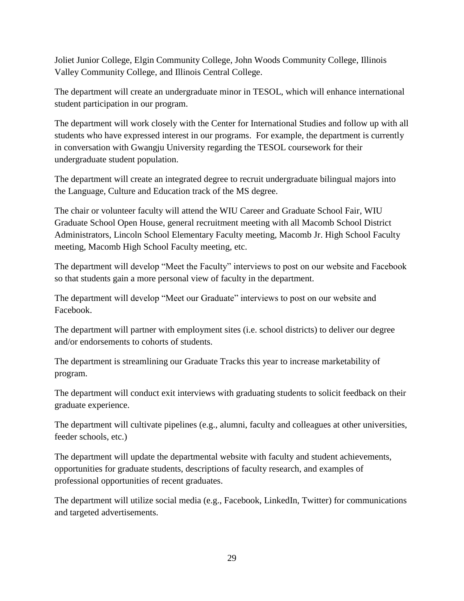Joliet Junior College, Elgin Community College, John Woods Community College, Illinois Valley Community College, and Illinois Central College.

The department will create an undergraduate minor in TESOL, which will enhance international student participation in our program.

The department will work closely with the Center for International Studies and follow up with all students who have expressed interest in our programs. For example, the department is currently in conversation with Gwangju University regarding the TESOL coursework for their undergraduate student population.

The department will create an integrated degree to recruit undergraduate bilingual majors into the Language, Culture and Education track of the MS degree.

The chair or volunteer faculty will attend the WIU Career and Graduate School Fair, WIU Graduate School Open House, general recruitment meeting with all Macomb School District Administrators, Lincoln School Elementary Faculty meeting, Macomb Jr. High School Faculty meeting, Macomb High School Faculty meeting, etc.

The department will develop "Meet the Faculty" interviews to post on our website and Facebook so that students gain a more personal view of faculty in the department.

The department will develop "Meet our Graduate" interviews to post on our website and Facebook.

The department will partner with employment sites (i.e. school districts) to deliver our degree and/or endorsements to cohorts of students.

The department is streamlining our Graduate Tracks this year to increase marketability of program.

The department will conduct exit interviews with graduating students to solicit feedback on their graduate experience.

The department will cultivate pipelines (e.g., alumni, faculty and colleagues at other universities, feeder schools, etc.)

The department will update the departmental website with faculty and student achievements, opportunities for graduate students, descriptions of faculty research, and examples of professional opportunities of recent graduates.

The department will utilize social media (e.g., Facebook, LinkedIn, Twitter) for communications and targeted advertisements.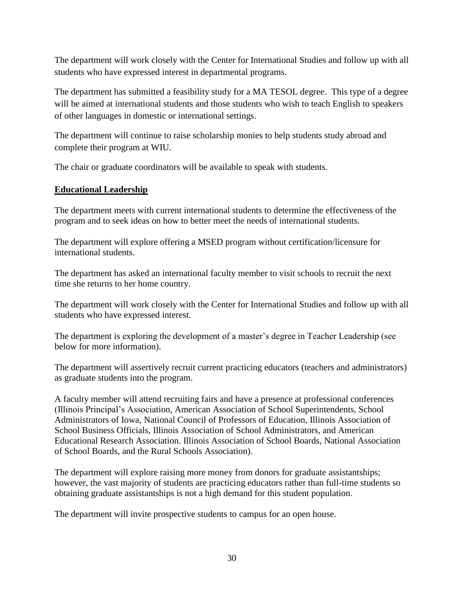The department will work closely with the Center for International Studies and follow up with all students who have expressed interest in departmental programs.

The department has submitted a feasibility study for a MA TESOL degree. This type of a degree will be aimed at international students and those students who wish to teach English to speakers of other languages in domestic or international settings.

The department will continue to raise scholarship monies to help students study abroad and complete their program at WIU.

The chair or graduate coordinators will be available to speak with students.

# **Educational Leadership**

The department meets with current international students to determine the effectiveness of the program and to seek ideas on how to better meet the needs of international students.

The department will explore offering a MSED program without certification/licensure for international students.

The department has asked an international faculty member to visit schools to recruit the next time she returns to her home country.

The department will work closely with the Center for International Studies and follow up with all students who have expressed interest.

The department is exploring the development of a master's degree in Teacher Leadership (see below for more information).

The department will assertively recruit current practicing educators (teachers and administrators) as graduate students into the program.

A faculty member will attend recruiting fairs and have a presence at professional conferences (Illinois Principal's Association, American Association of School Superintendents, School Administrators of Iowa, National Council of Professors of Education, Illinois Association of School Business Officials, Illinois Association of School Administrators, and American Educational Research Association. Illinois Association of School Boards, National Association of School Boards, and the Rural Schools Association).

The department will explore raising more money from donors for graduate assistantships; however, the vast majority of students are practicing educators rather than full-time students so obtaining graduate assistantships is not a high demand for this student population.

The department will invite prospective students to campus for an open house.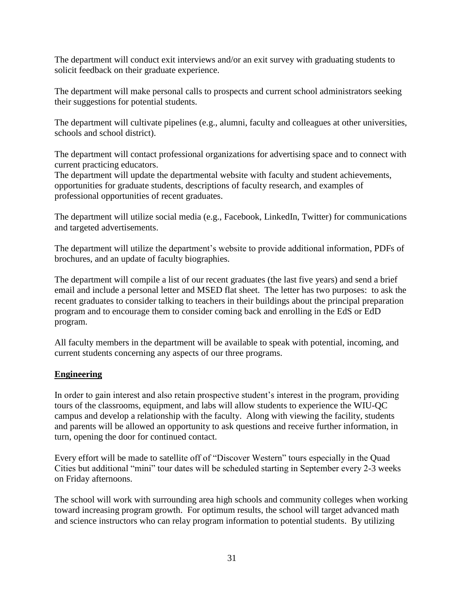The department will conduct exit interviews and/or an exit survey with graduating students to solicit feedback on their graduate experience.

The department will make personal calls to prospects and current school administrators seeking their suggestions for potential students.

The department will cultivate pipelines (e.g., alumni, faculty and colleagues at other universities, schools and school district).

The department will contact professional organizations for advertising space and to connect with current practicing educators.

The department will update the departmental website with faculty and student achievements, opportunities for graduate students, descriptions of faculty research, and examples of professional opportunities of recent graduates.

The department will utilize social media (e.g., Facebook, LinkedIn, Twitter) for communications and targeted advertisements.

The department will utilize the department's website to provide additional information, PDFs of brochures, and an update of faculty biographies.

The department will compile a list of our recent graduates (the last five years) and send a brief email and include a personal letter and MSED flat sheet. The letter has two purposes: to ask the recent graduates to consider talking to teachers in their buildings about the principal preparation program and to encourage them to consider coming back and enrolling in the EdS or EdD program.

All faculty members in the department will be available to speak with potential, incoming, and current students concerning any aspects of our three programs.

# **Engineering**

In order to gain interest and also retain prospective student's interest in the program, providing tours of the classrooms, equipment, and labs will allow students to experience the WIU-QC campus and develop a relationship with the faculty. Along with viewing the facility, students and parents will be allowed an opportunity to ask questions and receive further information, in turn, opening the door for continued contact.

Every effort will be made to satellite off of "Discover Western" tours especially in the Quad Cities but additional "mini" tour dates will be scheduled starting in September every 2-3 weeks on Friday afternoons.

The school will work with surrounding area high schools and community colleges when working toward increasing program growth. For optimum results, the school will target advanced math and science instructors who can relay program information to potential students. By utilizing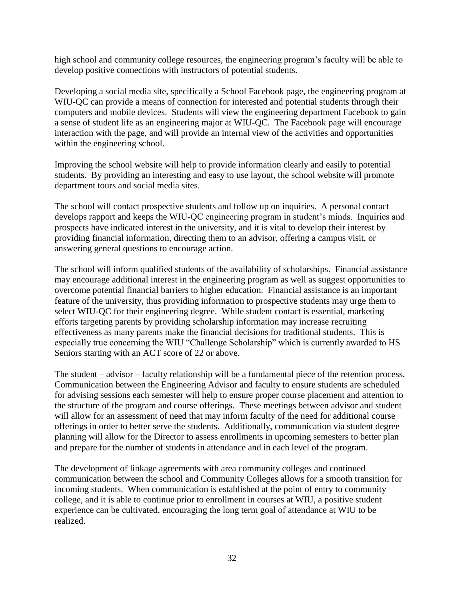high school and community college resources, the engineering program's faculty will be able to develop positive connections with instructors of potential students.

Developing a social media site, specifically a School Facebook page, the engineering program at WIU-QC can provide a means of connection for interested and potential students through their computers and mobile devices. Students will view the engineering department Facebook to gain a sense of student life as an engineering major at WIU-QC. The Facebook page will encourage interaction with the page, and will provide an internal view of the activities and opportunities within the engineering school.

Improving the school website will help to provide information clearly and easily to potential students. By providing an interesting and easy to use layout, the school website will promote department tours and social media sites.

The school will contact prospective students and follow up on inquiries. A personal contact develops rapport and keeps the WIU-QC engineering program in student's minds. Inquiries and prospects have indicated interest in the university, and it is vital to develop their interest by providing financial information, directing them to an advisor, offering a campus visit, or answering general questions to encourage action.

The school will inform qualified students of the availability of scholarships. Financial assistance may encourage additional interest in the engineering program as well as suggest opportunities to overcome potential financial barriers to higher education. Financial assistance is an important feature of the university, thus providing information to prospective students may urge them to select WIU-QC for their engineering degree. While student contact is essential, marketing efforts targeting parents by providing scholarship information may increase recruiting effectiveness as many parents make the financial decisions for traditional students. This is especially true concerning the WIU "Challenge Scholarship" which is currently awarded to HS Seniors starting with an ACT score of 22 or above.

The student – advisor – faculty relationship will be a fundamental piece of the retention process. Communication between the Engineering Advisor and faculty to ensure students are scheduled for advising sessions each semester will help to ensure proper course placement and attention to the structure of the program and course offerings. These meetings between advisor and student will allow for an assessment of need that may inform faculty of the need for additional course offerings in order to better serve the students. Additionally, communication via student degree planning will allow for the Director to assess enrollments in upcoming semesters to better plan and prepare for the number of students in attendance and in each level of the program.

The development of linkage agreements with area community colleges and continued communication between the school and Community Colleges allows for a smooth transition for incoming students. When communication is established at the point of entry to community college, and it is able to continue prior to enrollment in courses at WIU, a positive student experience can be cultivated, encouraging the long term goal of attendance at WIU to be realized.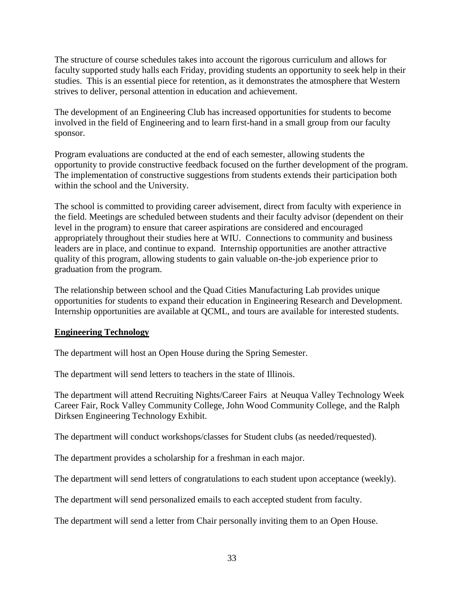The structure of course schedules takes into account the rigorous curriculum and allows for faculty supported study halls each Friday, providing students an opportunity to seek help in their studies. This is an essential piece for retention, as it demonstrates the atmosphere that Western strives to deliver, personal attention in education and achievement.

The development of an Engineering Club has increased opportunities for students to become involved in the field of Engineering and to learn first-hand in a small group from our faculty sponsor.

Program evaluations are conducted at the end of each semester, allowing students the opportunity to provide constructive feedback focused on the further development of the program. The implementation of constructive suggestions from students extends their participation both within the school and the University.

The school is committed to providing career advisement, direct from faculty with experience in the field. Meetings are scheduled between students and their faculty advisor (dependent on their level in the program) to ensure that career aspirations are considered and encouraged appropriately throughout their studies here at WIU. Connections to community and business leaders are in place, and continue to expand. Internship opportunities are another attractive quality of this program, allowing students to gain valuable on-the-job experience prior to graduation from the program.

The relationship between school and the Quad Cities Manufacturing Lab provides unique opportunities for students to expand their education in Engineering Research and Development. Internship opportunities are available at QCML, and tours are available for interested students.

# **Engineering Technology**

The department will host an Open House during the Spring Semester.

The department will send letters to teachers in the state of Illinois.

The department will attend Recruiting Nights/Career Fairs at Neuqua Valley Technology Week Career Fair, Rock Valley Community College, John Wood Community College, and the Ralph Dirksen Engineering Technology Exhibit.

The department will conduct workshops/classes for Student clubs (as needed/requested).

The department provides a scholarship for a freshman in each major.

The department will send letters of congratulations to each student upon acceptance (weekly).

The department will send personalized emails to each accepted student from faculty.

The department will send a letter from Chair personally inviting them to an Open House.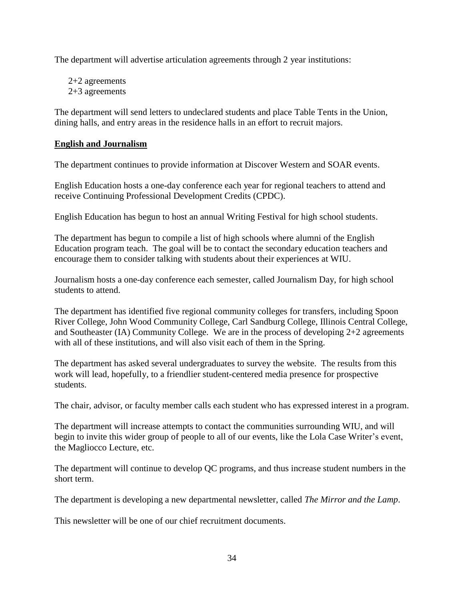The department will advertise articulation agreements through 2 year institutions:

2+2 agreements 2+3 agreements

The department will send letters to undeclared students and place Table Tents in the Union, dining halls, and entry areas in the residence halls in an effort to recruit majors.

# **English and Journalism**

The department continues to provide information at Discover Western and SOAR events.

English Education hosts a one-day conference each year for regional teachers to attend and receive Continuing Professional Development Credits (CPDC).

English Education has begun to host an annual Writing Festival for high school students.

The department has begun to compile a list of high schools where alumni of the English Education program teach. The goal will be to contact the secondary education teachers and encourage them to consider talking with students about their experiences at WIU.

Journalism hosts a one-day conference each semester, called Journalism Day, for high school students to attend.

The department has identified five regional community colleges for transfers, including Spoon River College, John Wood Community College, Carl Sandburg College, Illinois Central College, and Southeaster (IA) Community College. We are in the process of developing 2+2 agreements with all of these institutions, and will also visit each of them in the Spring.

The department has asked several undergraduates to survey the website. The results from this work will lead, hopefully, to a friendlier student-centered media presence for prospective students.

The chair, advisor, or faculty member calls each student who has expressed interest in a program.

The department will increase attempts to contact the communities surrounding WIU, and will begin to invite this wider group of people to all of our events, like the Lola Case Writer's event, the Magliocco Lecture, etc.

The department will continue to develop QC programs, and thus increase student numbers in the short term.

The department is developing a new departmental newsletter, called *The Mirror and the Lamp*.

This newsletter will be one of our chief recruitment documents.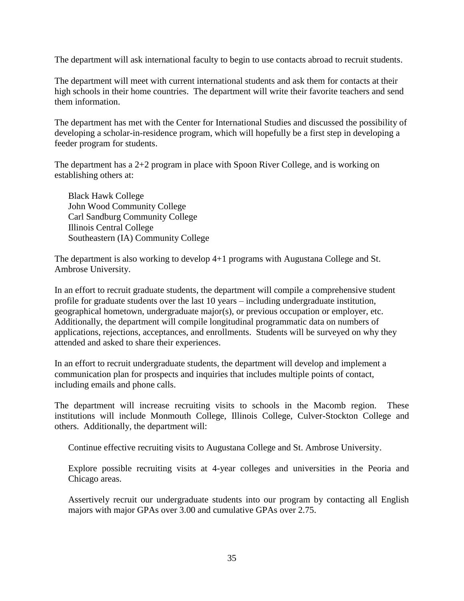The department will ask international faculty to begin to use contacts abroad to recruit students.

The department will meet with current international students and ask them for contacts at their high schools in their home countries. The department will write their favorite teachers and send them information.

The department has met with the Center for International Studies and discussed the possibility of developing a scholar-in-residence program, which will hopefully be a first step in developing a feeder program for students.

The department has a 2+2 program in place with Spoon River College, and is working on establishing others at:

Black Hawk College John Wood Community College Carl Sandburg Community College Illinois Central College Southeastern (IA) Community College

The department is also working to develop 4+1 programs with Augustana College and St. Ambrose University.

In an effort to recruit graduate students, the department will compile a comprehensive student profile for graduate students over the last 10 years – including undergraduate institution, geographical hometown, undergraduate major(s), or previous occupation or employer, etc. Additionally, the department will compile longitudinal programmatic data on numbers of applications, rejections, acceptances, and enrollments. Students will be surveyed on why they attended and asked to share their experiences.

In an effort to recruit undergraduate students, the department will develop and implement a communication plan for prospects and inquiries that includes multiple points of contact, including emails and phone calls.

The department will increase recruiting visits to schools in the Macomb region. These institutions will include Monmouth College, Illinois College, Culver-Stockton College and others. Additionally, the department will:

Continue effective recruiting visits to Augustana College and St. Ambrose University.

Explore possible recruiting visits at 4-year colleges and universities in the Peoria and Chicago areas.

Assertively recruit our undergraduate students into our program by contacting all English majors with major GPAs over 3.00 and cumulative GPAs over 2.75.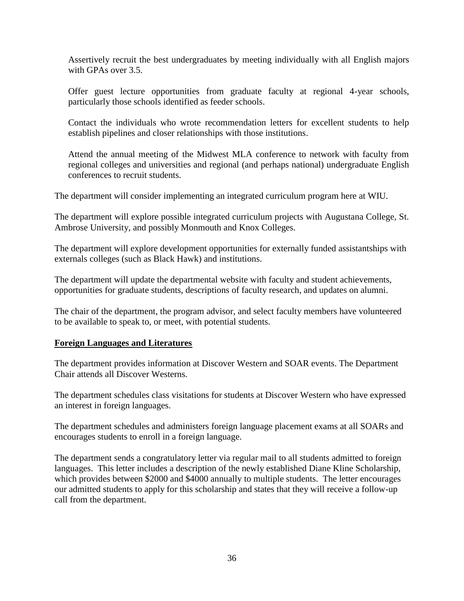Assertively recruit the best undergraduates by meeting individually with all English majors with GPAs over 3.5.

Offer guest lecture opportunities from graduate faculty at regional 4-year schools, particularly those schools identified as feeder schools.

Contact the individuals who wrote recommendation letters for excellent students to help establish pipelines and closer relationships with those institutions.

Attend the annual meeting of the Midwest MLA conference to network with faculty from regional colleges and universities and regional (and perhaps national) undergraduate English conferences to recruit students.

The department will consider implementing an integrated curriculum program here at WIU.

The department will explore possible integrated curriculum projects with Augustana College, St. Ambrose University, and possibly Monmouth and Knox Colleges.

The department will explore development opportunities for externally funded assistantships with externals colleges (such as Black Hawk) and institutions.

The department will update the departmental website with faculty and student achievements, opportunities for graduate students, descriptions of faculty research, and updates on alumni.

The chair of the department, the program advisor, and select faculty members have volunteered to be available to speak to, or meet, with potential students.

#### **Foreign Languages and Literatures**

The department provides information at Discover Western and SOAR events. The Department Chair attends all Discover Westerns.

The department schedules class visitations for students at Discover Western who have expressed an interest in foreign languages.

The department schedules and administers foreign language placement exams at all SOARs and encourages students to enroll in a foreign language.

The department sends a congratulatory letter via regular mail to all students admitted to foreign languages. This letter includes a description of the newly established Diane Kline Scholarship, which provides between \$2000 and \$4000 annually to multiple students. The letter encourages our admitted students to apply for this scholarship and states that they will receive a follow-up call from the department.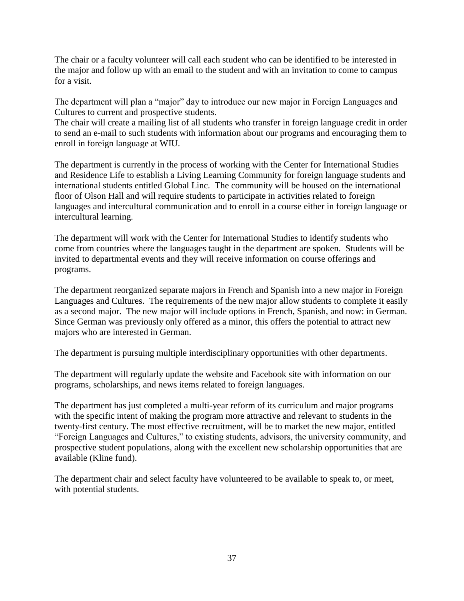The chair or a faculty volunteer will call each student who can be identified to be interested in the major and follow up with an email to the student and with an invitation to come to campus for a visit.

The department will plan a "major" day to introduce our new major in Foreign Languages and Cultures to current and prospective students.

The chair will create a mailing list of all students who transfer in foreign language credit in order to send an e-mail to such students with information about our programs and encouraging them to enroll in foreign language at WIU.

The department is currently in the process of working with the Center for International Studies and Residence Life to establish a Living Learning Community for foreign language students and international students entitled Global Linc. The community will be housed on the international floor of Olson Hall and will require students to participate in activities related to foreign languages and intercultural communication and to enroll in a course either in foreign language or intercultural learning.

The department will work with the Center for International Studies to identify students who come from countries where the languages taught in the department are spoken. Students will be invited to departmental events and they will receive information on course offerings and programs.

The department reorganized separate majors in French and Spanish into a new major in Foreign Languages and Cultures. The requirements of the new major allow students to complete it easily as a second major. The new major will include options in French, Spanish, and now: in German. Since German was previously only offered as a minor, this offers the potential to attract new majors who are interested in German.

The department is pursuing multiple interdisciplinary opportunities with other departments.

The department will regularly update the website and Facebook site with information on our programs, scholarships, and news items related to foreign languages.

The department has just completed a multi-year reform of its curriculum and major programs with the specific intent of making the program more attractive and relevant to students in the twenty-first century. The most effective recruitment, will be to market the new major, entitled "Foreign Languages and Cultures," to existing students, advisors, the university community, and prospective student populations, along with the excellent new scholarship opportunities that are available (Kline fund).

The department chair and select faculty have volunteered to be available to speak to, or meet, with potential students.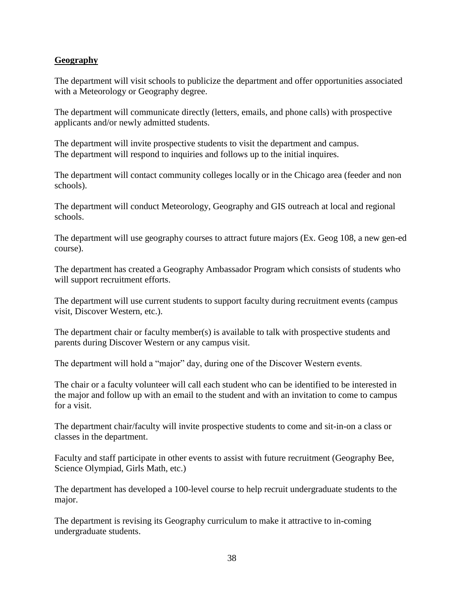## **Geography**

The department will visit schools to publicize the department and offer opportunities associated with a Meteorology or Geography degree.

The department will communicate directly (letters, emails, and phone calls) with prospective applicants and/or newly admitted students.

The department will invite prospective students to visit the department and campus. The department will respond to inquiries and follows up to the initial inquires.

The department will contact community colleges locally or in the Chicago area (feeder and non schools).

The department will conduct Meteorology, Geography and GIS outreach at local and regional schools.

The department will use geography courses to attract future majors (Ex. Geog 108, a new gen-ed course).

The department has created a Geography Ambassador Program which consists of students who will support recruitment efforts.

The department will use current students to support faculty during recruitment events (campus visit, Discover Western, etc.).

The department chair or faculty member(s) is available to talk with prospective students and parents during Discover Western or any campus visit.

The department will hold a "major" day, during one of the Discover Western events.

The chair or a faculty volunteer will call each student who can be identified to be interested in the major and follow up with an email to the student and with an invitation to come to campus for a visit.

The department chair/faculty will invite prospective students to come and sit-in-on a class or classes in the department.

Faculty and staff participate in other events to assist with future recruitment (Geography Bee, Science Olympiad, Girls Math, etc.)

The department has developed a 100-level course to help recruit undergraduate students to the major.

The department is revising its Geography curriculum to make it attractive to in-coming undergraduate students.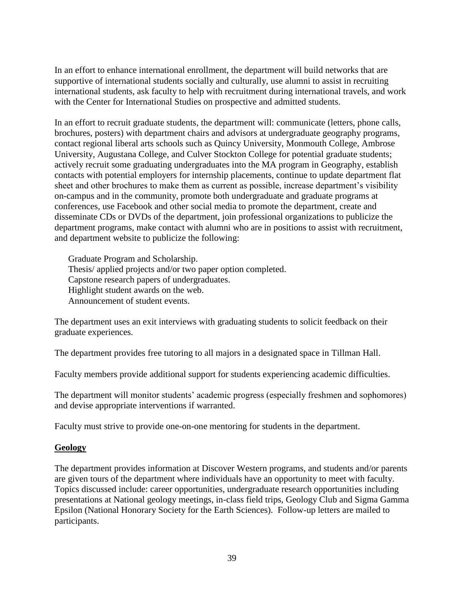In an effort to enhance international enrollment, the department will build networks that are supportive of international students socially and culturally, use alumni to assist in recruiting international students, ask faculty to help with recruitment during international travels, and work with the Center for International Studies on prospective and admitted students.

In an effort to recruit graduate students, the department will: communicate (letters, phone calls, brochures, posters) with department chairs and advisors at undergraduate geography programs, contact regional liberal arts schools such as Quincy University, Monmouth College, Ambrose University, Augustana College, and Culver Stockton College for potential graduate students; actively recruit some graduating undergraduates into the MA program in Geography, establish contacts with potential employers for internship placements, continue to update department flat sheet and other brochures to make them as current as possible, increase department's visibility on-campus and in the community, promote both undergraduate and graduate programs at conferences, use Facebook and other social media to promote the department, create and disseminate CDs or DVDs of the department, join professional organizations to publicize the department programs, make contact with alumni who are in positions to assist with recruitment, and department website to publicize the following:

Graduate Program and Scholarship. Thesis/ applied projects and/or two paper option completed. Capstone research papers of undergraduates. Highlight student awards on the web. Announcement of student events.

The department uses an exit interviews with graduating students to solicit feedback on their graduate experiences.

The department provides free tutoring to all majors in a designated space in Tillman Hall.

Faculty members provide additional support for students experiencing academic difficulties.

The department will monitor students' academic progress (especially freshmen and sophomores) and devise appropriate interventions if warranted.

Faculty must strive to provide one-on-one mentoring for students in the department.

## **Geology**

The department provides information at Discover Western programs, and students and/or parents are given tours of the department where individuals have an opportunity to meet with faculty. Topics discussed include: career opportunities, undergraduate research opportunities including presentations at National geology meetings, in-class field trips, Geology Club and Sigma Gamma Epsilon (National Honorary Society for the Earth Sciences). Follow-up letters are mailed to participants.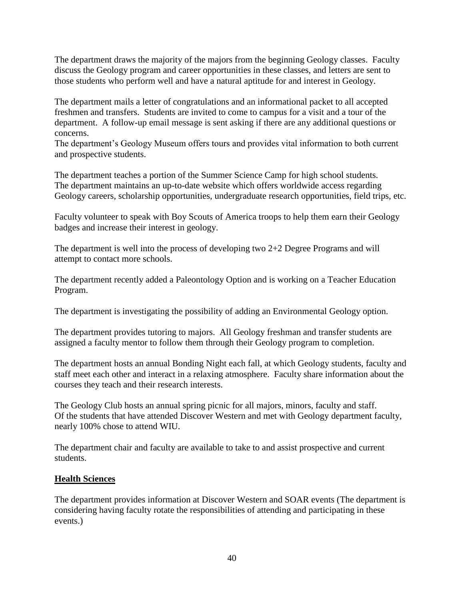The department draws the majority of the majors from the beginning Geology classes. Faculty discuss the Geology program and career opportunities in these classes, and letters are sent to those students who perform well and have a natural aptitude for and interest in Geology.

The department mails a letter of congratulations and an informational packet to all accepted freshmen and transfers. Students are invited to come to campus for a visit and a tour of the department. A follow-up email message is sent asking if there are any additional questions or concerns.

The department's Geology Museum offers tours and provides vital information to both current and prospective students.

The department teaches a portion of the Summer Science Camp for high school students. The department maintains an up-to-date website which offers worldwide access regarding Geology careers, scholarship opportunities, undergraduate research opportunities, field trips, etc.

Faculty volunteer to speak with Boy Scouts of America troops to help them earn their Geology badges and increase their interest in geology.

The department is well into the process of developing two 2+2 Degree Programs and will attempt to contact more schools.

The department recently added a Paleontology Option and is working on a Teacher Education Program.

The department is investigating the possibility of adding an Environmental Geology option.

The department provides tutoring to majors. All Geology freshman and transfer students are assigned a faculty mentor to follow them through their Geology program to completion.

The department hosts an annual Bonding Night each fall, at which Geology students, faculty and staff meet each other and interact in a relaxing atmosphere. Faculty share information about the courses they teach and their research interests.

The Geology Club hosts an annual spring picnic for all majors, minors, faculty and staff. Of the students that have attended Discover Western and met with Geology department faculty, nearly 100% chose to attend WIU.

The department chair and faculty are available to take to and assist prospective and current students.

## **Health Sciences**

The department provides information at Discover Western and SOAR events (The department is considering having faculty rotate the responsibilities of attending and participating in these events.)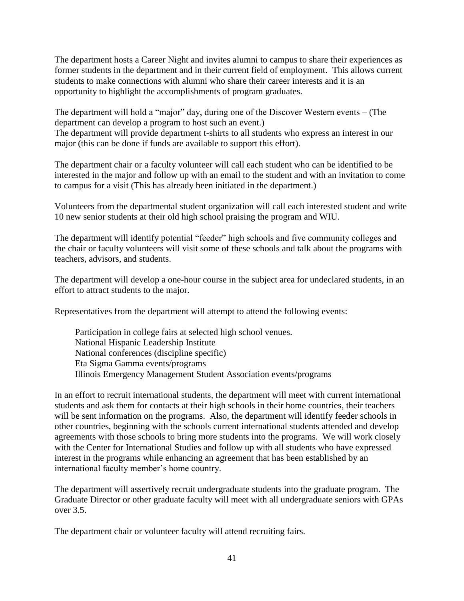The department hosts a Career Night and invites alumni to campus to share their experiences as former students in the department and in their current field of employment. This allows current students to make connections with alumni who share their career interests and it is an opportunity to highlight the accomplishments of program graduates.

The department will hold a "major" day, during one of the Discover Western events – (The department can develop a program to host such an event.)

The department will provide department t-shirts to all students who express an interest in our major (this can be done if funds are available to support this effort).

The department chair or a faculty volunteer will call each student who can be identified to be interested in the major and follow up with an email to the student and with an invitation to come to campus for a visit (This has already been initiated in the department.)

Volunteers from the departmental student organization will call each interested student and write 10 new senior students at their old high school praising the program and WIU.

The department will identify potential "feeder" high schools and five community colleges and the chair or faculty volunteers will visit some of these schools and talk about the programs with teachers, advisors, and students.

The department will develop a one-hour course in the subject area for undeclared students, in an effort to attract students to the major.

Representatives from the department will attempt to attend the following events:

Participation in college fairs at selected high school venues. National Hispanic Leadership Institute National conferences (discipline specific) Eta Sigma Gamma events/programs Illinois Emergency Management Student Association events/programs

In an effort to recruit international students, the department will meet with current international students and ask them for contacts at their high schools in their home countries, their teachers will be sent information on the programs. Also, the department will identify feeder schools in other countries, beginning with the schools current international students attended and develop agreements with those schools to bring more students into the programs. We will work closely with the Center for International Studies and follow up with all students who have expressed interest in the programs while enhancing an agreement that has been established by an international faculty member's home country.

The department will assertively recruit undergraduate students into the graduate program. The Graduate Director or other graduate faculty will meet with all undergraduate seniors with GPAs over 3.5.

The department chair or volunteer faculty will attend recruiting fairs.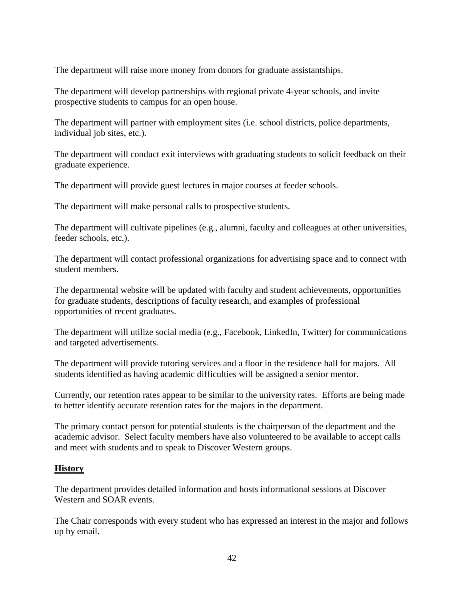The department will raise more money from donors for graduate assistantships.

The department will develop partnerships with regional private 4-year schools, and invite prospective students to campus for an open house.

The department will partner with employment sites (i.e. school districts, police departments, individual job sites, etc.).

The department will conduct exit interviews with graduating students to solicit feedback on their graduate experience.

The department will provide guest lectures in major courses at feeder schools.

The department will make personal calls to prospective students.

The department will cultivate pipelines (e.g., alumni, faculty and colleagues at other universities, feeder schools, etc.).

The department will contact professional organizations for advertising space and to connect with student members.

The departmental website will be updated with faculty and student achievements, opportunities for graduate students, descriptions of faculty research, and examples of professional opportunities of recent graduates.

The department will utilize social media (e.g., Facebook, LinkedIn, Twitter) for communications and targeted advertisements.

The department will provide tutoring services and a floor in the residence hall for majors. All students identified as having academic difficulties will be assigned a senior mentor.

Currently, our retention rates appear to be similar to the university rates. Efforts are being made to better identify accurate retention rates for the majors in the department.

The primary contact person for potential students is the chairperson of the department and the academic advisor. Select faculty members have also volunteered to be available to accept calls and meet with students and to speak to Discover Western groups.

## **History**

The department provides detailed information and hosts informational sessions at Discover Western and SOAR events.

The Chair corresponds with every student who has expressed an interest in the major and follows up by email.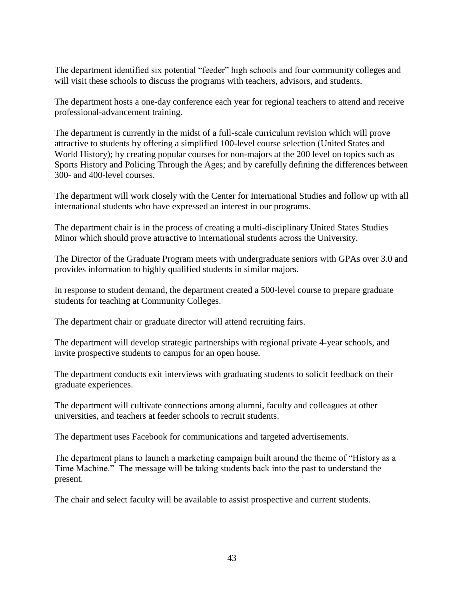The department identified six potential "feeder" high schools and four community colleges and will visit these schools to discuss the programs with teachers, advisors, and students.

The department hosts a one-day conference each year for regional teachers to attend and receive professional-advancement training.

The department is currently in the midst of a full-scale curriculum revision which will prove attractive to students by offering a simplified 100-level course selection (United States and World History); by creating popular courses for non-majors at the 200 level on topics such as Sports History and Policing Through the Ages; and by carefully defining the differences between 300- and 400-level courses.

The department will work closely with the Center for International Studies and follow up with all international students who have expressed an interest in our programs.

The department chair is in the process of creating a multi-disciplinary United States Studies Minor which should prove attractive to international students across the University.

The Director of the Graduate Program meets with undergraduate seniors with GPAs over 3.0 and provides information to highly qualified students in similar majors.

In response to student demand, the department created a 500-level course to prepare graduate students for teaching at Community Colleges.

The department chair or graduate director will attend recruiting fairs.

The department will develop strategic partnerships with regional private 4-year schools, and invite prospective students to campus for an open house.

The department conducts exit interviews with graduating students to solicit feedback on their graduate experiences.

The department will cultivate connections among alumni, faculty and colleagues at other universities, and teachers at feeder schools to recruit students.

The department uses Facebook for communications and targeted advertisements.

The department plans to launch a marketing campaign built around the theme of "History as a Time Machine." The message will be taking students back into the past to understand the present.

The chair and select faculty will be available to assist prospective and current students.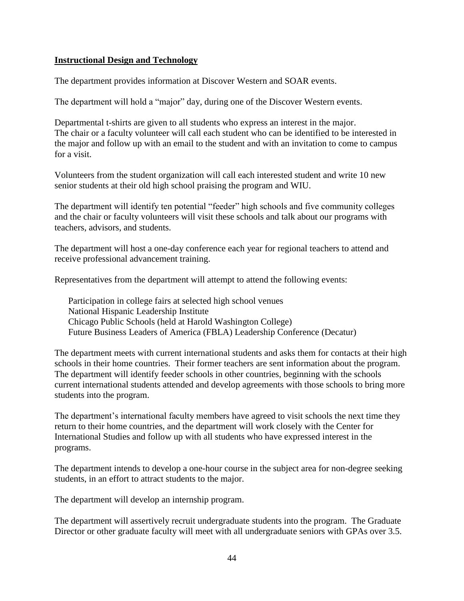#### **Instructional Design and Technology**

The department provides information at Discover Western and SOAR events.

The department will hold a "major" day, during one of the Discover Western events.

Departmental t-shirts are given to all students who express an interest in the major. The chair or a faculty volunteer will call each student who can be identified to be interested in the major and follow up with an email to the student and with an invitation to come to campus for a visit.

Volunteers from the student organization will call each interested student and write 10 new senior students at their old high school praising the program and WIU.

The department will identify ten potential "feeder" high schools and five community colleges and the chair or faculty volunteers will visit these schools and talk about our programs with teachers, advisors, and students.

The department will host a one-day conference each year for regional teachers to attend and receive professional advancement training.

Representatives from the department will attempt to attend the following events:

Participation in college fairs at selected high school venues National Hispanic Leadership Institute Chicago Public Schools (held at Harold Washington College) Future Business Leaders of America (FBLA) Leadership Conference (Decatur)

The department meets with current international students and asks them for contacts at their high schools in their home countries. Their former teachers are sent information about the program. The department will identify feeder schools in other countries, beginning with the schools current international students attended and develop agreements with those schools to bring more students into the program.

The department's international faculty members have agreed to visit schools the next time they return to their home countries, and the department will work closely with the Center for International Studies and follow up with all students who have expressed interest in the programs.

The department intends to develop a one-hour course in the subject area for non-degree seeking students, in an effort to attract students to the major.

The department will develop an internship program.

The department will assertively recruit undergraduate students into the program. The Graduate Director or other graduate faculty will meet with all undergraduate seniors with GPAs over 3.5.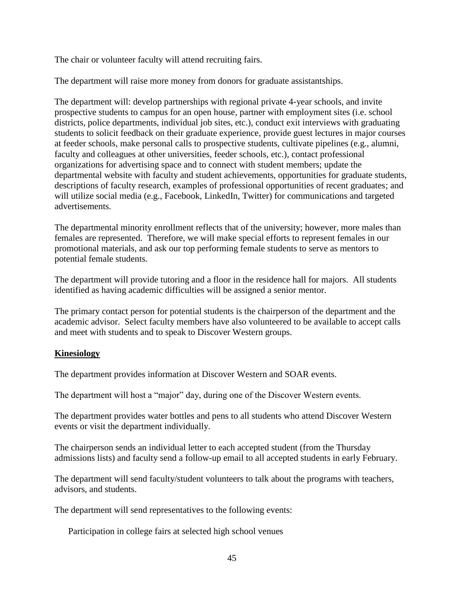The chair or volunteer faculty will attend recruiting fairs.

The department will raise more money from donors for graduate assistantships.

The department will: develop partnerships with regional private 4-year schools, and invite prospective students to campus for an open house, partner with employment sites (i.e. school districts, police departments, individual job sites, etc.), conduct exit interviews with graduating students to solicit feedback on their graduate experience, provide guest lectures in major courses at feeder schools, make personal calls to prospective students, cultivate pipelines (e.g., alumni, faculty and colleagues at other universities, feeder schools, etc.), contact professional organizations for advertising space and to connect with student members; update the departmental website with faculty and student achievements, opportunities for graduate students, descriptions of faculty research, examples of professional opportunities of recent graduates; and will utilize social media (e.g., Facebook, LinkedIn, Twitter) for communications and targeted advertisements.

The departmental minority enrollment reflects that of the university; however, more males than females are represented. Therefore, we will make special efforts to represent females in our promotional materials, and ask our top performing female students to serve as mentors to potential female students.

The department will provide tutoring and a floor in the residence hall for majors. All students identified as having academic difficulties will be assigned a senior mentor.

The primary contact person for potential students is the chairperson of the department and the academic advisor. Select faculty members have also volunteered to be available to accept calls and meet with students and to speak to Discover Western groups.

## **Kinesiology**

The department provides information at Discover Western and SOAR events.

The department will host a "major" day, during one of the Discover Western events.

The department provides water bottles and pens to all students who attend Discover Western events or visit the department individually.

The chairperson sends an individual letter to each accepted student (from the Thursday admissions lists) and faculty send a follow-up email to all accepted students in early February.

The department will send faculty/student volunteers to talk about the programs with teachers, advisors, and students.

The department will send representatives to the following events:

Participation in college fairs at selected high school venues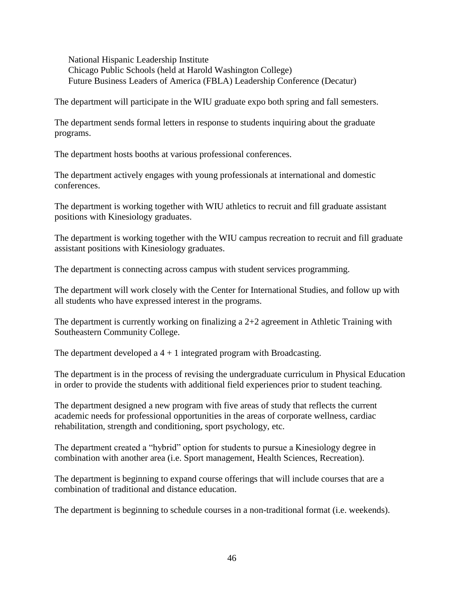National Hispanic Leadership Institute Chicago Public Schools (held at Harold Washington College) Future Business Leaders of America (FBLA) Leadership Conference (Decatur)

The department will participate in the WIU graduate expo both spring and fall semesters.

The department sends formal letters in response to students inquiring about the graduate programs.

The department hosts booths at various professional conferences.

The department actively engages with young professionals at international and domestic conferences.

The department is working together with WIU athletics to recruit and fill graduate assistant positions with Kinesiology graduates.

The department is working together with the WIU campus recreation to recruit and fill graduate assistant positions with Kinesiology graduates.

The department is connecting across campus with student services programming.

The department will work closely with the Center for International Studies, and follow up with all students who have expressed interest in the programs.

The department is currently working on finalizing a 2+2 agreement in Athletic Training with Southeastern Community College.

The department developed a  $4 + 1$  integrated program with Broadcasting.

The department is in the process of revising the undergraduate curriculum in Physical Education in order to provide the students with additional field experiences prior to student teaching.

The department designed a new program with five areas of study that reflects the current academic needs for professional opportunities in the areas of corporate wellness, cardiac rehabilitation, strength and conditioning, sport psychology, etc.

The department created a "hybrid" option for students to pursue a Kinesiology degree in combination with another area (i.e. Sport management, Health Sciences, Recreation).

The department is beginning to expand course offerings that will include courses that are a combination of traditional and distance education.

The department is beginning to schedule courses in a non-traditional format (i.e. weekends).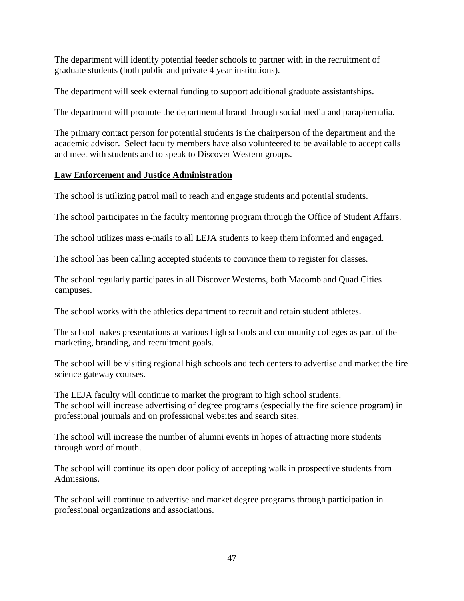The department will identify potential feeder schools to partner with in the recruitment of graduate students (both public and private 4 year institutions).

The department will seek external funding to support additional graduate assistantships.

The department will promote the departmental brand through social media and paraphernalia.

The primary contact person for potential students is the chairperson of the department and the academic advisor. Select faculty members have also volunteered to be available to accept calls and meet with students and to speak to Discover Western groups.

# **Law Enforcement and Justice Administration**

The school is utilizing patrol mail to reach and engage students and potential students.

The school participates in the faculty mentoring program through the Office of Student Affairs.

The school utilizes mass e-mails to all LEJA students to keep them informed and engaged.

The school has been calling accepted students to convince them to register for classes.

The school regularly participates in all Discover Westerns, both Macomb and Quad Cities campuses.

The school works with the athletics department to recruit and retain student athletes.

The school makes presentations at various high schools and community colleges as part of the marketing, branding, and recruitment goals.

The school will be visiting regional high schools and tech centers to advertise and market the fire science gateway courses.

The LEJA faculty will continue to market the program to high school students. The school will increase advertising of degree programs (especially the fire science program) in professional journals and on professional websites and search sites.

The school will increase the number of alumni events in hopes of attracting more students through word of mouth.

The school will continue its open door policy of accepting walk in prospective students from Admissions.

The school will continue to advertise and market degree programs through participation in professional organizations and associations.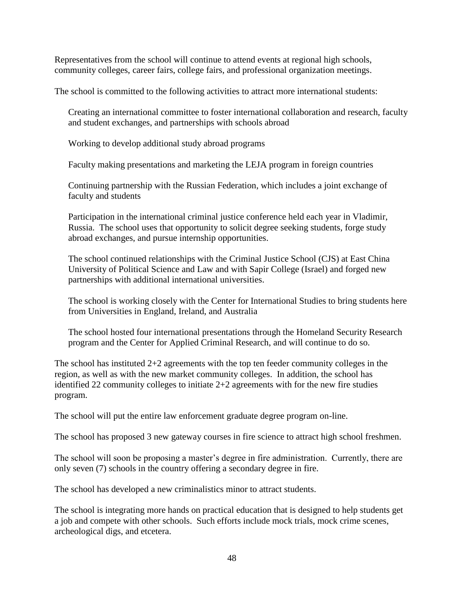Representatives from the school will continue to attend events at regional high schools, community colleges, career fairs, college fairs, and professional organization meetings.

The school is committed to the following activities to attract more international students:

Creating an international committee to foster international collaboration and research, faculty and student exchanges, and partnerships with schools abroad

Working to develop additional study abroad programs

Faculty making presentations and marketing the LEJA program in foreign countries

Continuing partnership with the Russian Federation, which includes a joint exchange of faculty and students

Participation in the international criminal justice conference held each year in Vladimir, Russia. The school uses that opportunity to solicit degree seeking students, forge study abroad exchanges, and pursue internship opportunities.

The school continued relationships with the Criminal Justice School (CJS) at East China University of Political Science and Law and with Sapir College (Israel) and forged new partnerships with additional international universities.

The school is working closely with the Center for International Studies to bring students here from Universities in England, Ireland, and Australia

The school hosted four international presentations through the Homeland Security Research program and the Center for Applied Criminal Research, and will continue to do so.

The school has instituted  $2+2$  agreements with the top ten feeder community colleges in the region, as well as with the new market community colleges. In addition, the school has identified 22 community colleges to initiate 2+2 agreements with for the new fire studies program.

The school will put the entire law enforcement graduate degree program on-line.

The school has proposed 3 new gateway courses in fire science to attract high school freshmen.

The school will soon be proposing a master's degree in fire administration. Currently, there are only seven (7) schools in the country offering a secondary degree in fire.

The school has developed a new criminalistics minor to attract students.

The school is integrating more hands on practical education that is designed to help students get a job and compete with other schools. Such efforts include mock trials, mock crime scenes, archeological digs, and etcetera.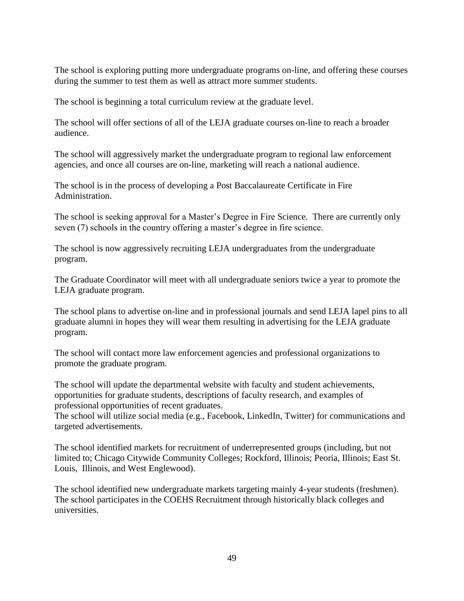The school is exploring putting more undergraduate programs on-line, and offering these courses during the summer to test them as well as attract more summer students.

The school is beginning a total curriculum review at the graduate level.

The school will offer sections of all of the LEJA graduate courses on-line to reach a broader audience.

The school will aggressively market the undergraduate program to regional law enforcement agencies, and once all courses are on-line, marketing will reach a national audience.

The school is in the process of developing a Post Baccalaureate Certificate in Fire Administration.

The school is seeking approval for a Master's Degree in Fire Science. There are currently only seven (7) schools in the country offering a master's degree in fire science.

The school is now aggressively recruiting LEJA undergraduates from the undergraduate program.

The Graduate Coordinator will meet with all undergraduate seniors twice a year to promote the LEJA graduate program.

The school plans to advertise on-line and in professional journals and send LEJA lapel pins to all graduate alumni in hopes they will wear them resulting in advertising for the LEJA graduate program.

The school will contact more law enforcement agencies and professional organizations to promote the graduate program.

The school will update the departmental website with faculty and student achievements, opportunities for graduate students, descriptions of faculty research, and examples of professional opportunities of recent graduates.

The school will utilize social media (e.g., Facebook, LinkedIn, Twitter) for communications and targeted advertisements.

The school identified markets for recruitment of underrepresented groups (including, but not limited to; Chicago Citywide Community Colleges; Rockford, Illinois; Peoria, Illinois; East St. Louis, Illinois, and West Englewood).

The school identified new undergraduate markets targeting mainly 4-year students (freshmen). The school participates in the COEHS Recruitment through historically black colleges and universities.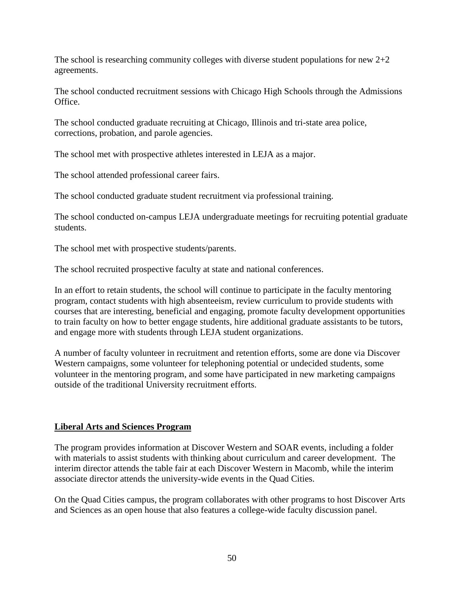The school is researching community colleges with diverse student populations for new  $2+2$ agreements.

The school conducted recruitment sessions with Chicago High Schools through the Admissions Office.

The school conducted graduate recruiting at Chicago, Illinois and tri-state area police, corrections, probation, and parole agencies.

The school met with prospective athletes interested in LEJA as a major.

The school attended professional career fairs.

The school conducted graduate student recruitment via professional training.

The school conducted on-campus LEJA undergraduate meetings for recruiting potential graduate students.

The school met with prospective students/parents.

The school recruited prospective faculty at state and national conferences.

In an effort to retain students, the school will continue to participate in the faculty mentoring program, contact students with high absenteeism, review curriculum to provide students with courses that are interesting, beneficial and engaging, promote faculty development opportunities to train faculty on how to better engage students, hire additional graduate assistants to be tutors, and engage more with students through LEJA student organizations.

A number of faculty volunteer in recruitment and retention efforts, some are done via Discover Western campaigns, some volunteer for telephoning potential or undecided students, some volunteer in the mentoring program, and some have participated in new marketing campaigns outside of the traditional University recruitment efforts.

#### **Liberal Arts and Sciences Program**

The program provides information at Discover Western and SOAR events, including a folder with materials to assist students with thinking about curriculum and career development. The interim director attends the table fair at each Discover Western in Macomb, while the interim associate director attends the university-wide events in the Quad Cities.

On the Quad Cities campus, the program collaborates with other programs to host Discover Arts and Sciences as an open house that also features a college-wide faculty discussion panel.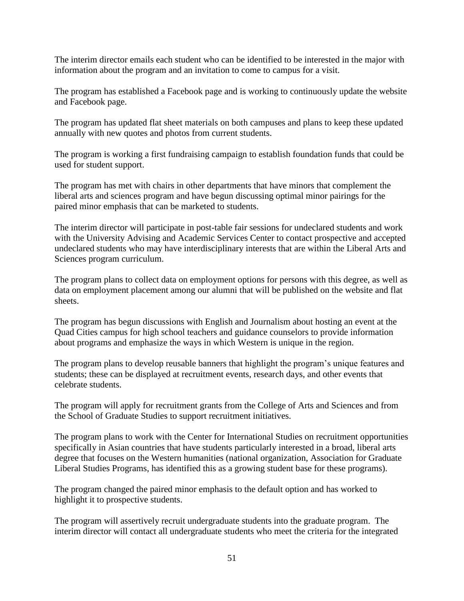The interim director emails each student who can be identified to be interested in the major with information about the program and an invitation to come to campus for a visit.

The program has established a Facebook page and is working to continuously update the website and Facebook page.

The program has updated flat sheet materials on both campuses and plans to keep these updated annually with new quotes and photos from current students.

The program is working a first fundraising campaign to establish foundation funds that could be used for student support.

The program has met with chairs in other departments that have minors that complement the liberal arts and sciences program and have begun discussing optimal minor pairings for the paired minor emphasis that can be marketed to students.

The interim director will participate in post-table fair sessions for undeclared students and work with the University Advising and Academic Services Center to contact prospective and accepted undeclared students who may have interdisciplinary interests that are within the Liberal Arts and Sciences program curriculum.

The program plans to collect data on employment options for persons with this degree, as well as data on employment placement among our alumni that will be published on the website and flat sheets.

The program has begun discussions with English and Journalism about hosting an event at the Quad Cities campus for high school teachers and guidance counselors to provide information about programs and emphasize the ways in which Western is unique in the region.

The program plans to develop reusable banners that highlight the program's unique features and students; these can be displayed at recruitment events, research days, and other events that celebrate students.

The program will apply for recruitment grants from the College of Arts and Sciences and from the School of Graduate Studies to support recruitment initiatives.

The program plans to work with the Center for International Studies on recruitment opportunities specifically in Asian countries that have students particularly interested in a broad, liberal arts degree that focuses on the Western humanities (national organization, Association for Graduate Liberal Studies Programs, has identified this as a growing student base for these programs).

The program changed the paired minor emphasis to the default option and has worked to highlight it to prospective students.

The program will assertively recruit undergraduate students into the graduate program. The interim director will contact all undergraduate students who meet the criteria for the integrated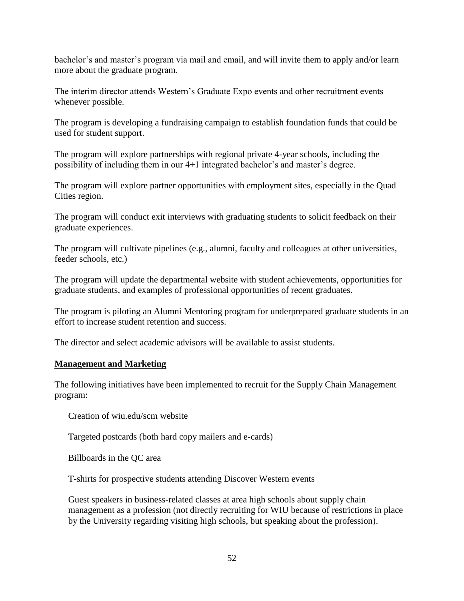bachelor's and master's program via mail and email, and will invite them to apply and/or learn more about the graduate program.

The interim director attends Western's Graduate Expo events and other recruitment events whenever possible.

The program is developing a fundraising campaign to establish foundation funds that could be used for student support.

The program will explore partnerships with regional private 4-year schools, including the possibility of including them in our 4+1 integrated bachelor's and master's degree.

The program will explore partner opportunities with employment sites, especially in the Quad Cities region.

The program will conduct exit interviews with graduating students to solicit feedback on their graduate experiences.

The program will cultivate pipelines (e.g., alumni, faculty and colleagues at other universities, feeder schools, etc.)

The program will update the departmental website with student achievements, opportunities for graduate students, and examples of professional opportunities of recent graduates.

The program is piloting an Alumni Mentoring program for underprepared graduate students in an effort to increase student retention and success.

The director and select academic advisors will be available to assist students.

#### **Management and Marketing**

The following initiatives have been implemented to recruit for the Supply Chain Management program:

Creation of wiu.edu/scm website

Targeted postcards (both hard copy mailers and e-cards)

Billboards in the QC area

T-shirts for prospective students attending Discover Western events

Guest speakers in business-related classes at area high schools about supply chain management as a profession (not directly recruiting for WIU because of restrictions in place by the University regarding visiting high schools, but speaking about the profession).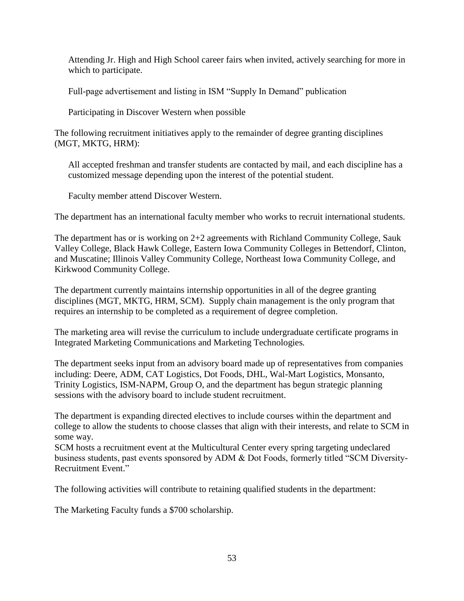Attending Jr. High and High School career fairs when invited, actively searching for more in which to participate.

Full-page advertisement and listing in ISM "Supply In Demand" publication

Participating in Discover Western when possible

The following recruitment initiatives apply to the remainder of degree granting disciplines (MGT, MKTG, HRM):

All accepted freshman and transfer students are contacted by mail, and each discipline has a customized message depending upon the interest of the potential student.

Faculty member attend Discover Western.

The department has an international faculty member who works to recruit international students.

The department has or is working on 2+2 agreements with Richland Community College, Sauk Valley College, Black Hawk College, Eastern Iowa Community Colleges in Bettendorf, Clinton, and Muscatine; Illinois Valley Community College, Northeast Iowa Community College, and Kirkwood Community College.

The department currently maintains internship opportunities in all of the degree granting disciplines (MGT, MKTG, HRM, SCM). Supply chain management is the only program that requires an internship to be completed as a requirement of degree completion.

The marketing area will revise the curriculum to include undergraduate certificate programs in Integrated Marketing Communications and Marketing Technologies*.*

The department seeks input from an advisory board made up of representatives from companies including: Deere, ADM, CAT Logistics, Dot Foods, DHL, Wal-Mart Logistics, Monsanto, Trinity Logistics, ISM-NAPM, Group O, and the department has begun strategic planning sessions with the advisory board to include student recruitment.

The department is expanding directed electives to include courses within the department and college to allow the students to choose classes that align with their interests, and relate to SCM in some way.

SCM hosts a recruitment event at the Multicultural Center every spring targeting undeclared business students, past events sponsored by ADM & Dot Foods, formerly titled "SCM Diversity-Recruitment Event."

The following activities will contribute to retaining qualified students in the department:

The Marketing Faculty funds a \$700 scholarship.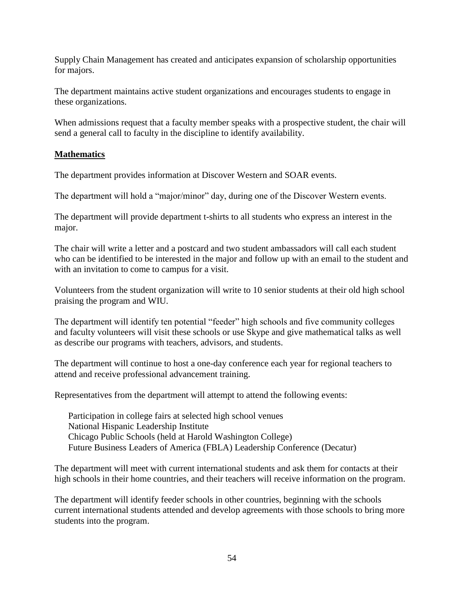Supply Chain Management has created and anticipates expansion of scholarship opportunities for majors.

The department maintains active student organizations and encourages students to engage in these organizations.

When admissions request that a faculty member speaks with a prospective student, the chair will send a general call to faculty in the discipline to identify availability.

## **Mathematics**

The department provides information at Discover Western and SOAR events.

The department will hold a "major/minor" day, during one of the Discover Western events.

The department will provide department t-shirts to all students who express an interest in the major.

The chair will write a letter and a postcard and two student ambassadors will call each student who can be identified to be interested in the major and follow up with an email to the student and with an invitation to come to campus for a visit.

Volunteers from the student organization will write to 10 senior students at their old high school praising the program and WIU.

The department will identify ten potential "feeder" high schools and five community colleges and faculty volunteers will visit these schools or use Skype and give mathematical talks as well as describe our programs with teachers, advisors, and students.

The department will continue to host a one-day conference each year for regional teachers to attend and receive professional advancement training.

Representatives from the department will attempt to attend the following events:

Participation in college fairs at selected high school venues National Hispanic Leadership Institute Chicago Public Schools (held at Harold Washington College) Future Business Leaders of America (FBLA) Leadership Conference (Decatur)

The department will meet with current international students and ask them for contacts at their high schools in their home countries, and their teachers will receive information on the program.

The department will identify feeder schools in other countries, beginning with the schools current international students attended and develop agreements with those schools to bring more students into the program.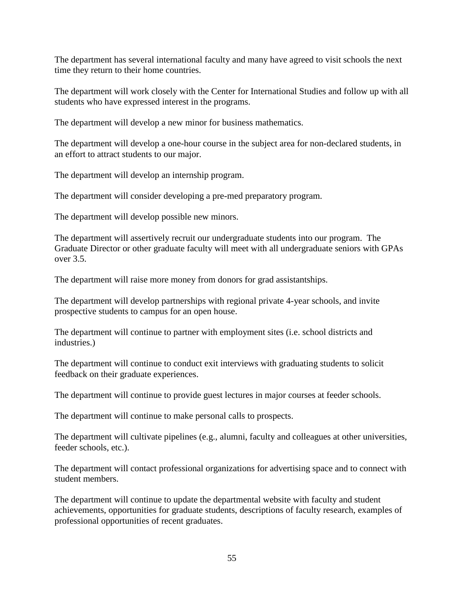The department has several international faculty and many have agreed to visit schools the next time they return to their home countries.

The department will work closely with the Center for International Studies and follow up with all students who have expressed interest in the programs.

The department will develop a new minor for business mathematics.

The department will develop a one-hour course in the subject area for non-declared students, in an effort to attract students to our major.

The department will develop an internship program.

The department will consider developing a pre-med preparatory program.

The department will develop possible new minors.

The department will assertively recruit our undergraduate students into our program. The Graduate Director or other graduate faculty will meet with all undergraduate seniors with GPAs over 3.5.

The department will raise more money from donors for grad assistantships.

The department will develop partnerships with regional private 4-year schools, and invite prospective students to campus for an open house.

The department will continue to partner with employment sites (i.e. school districts and industries.)

The department will continue to conduct exit interviews with graduating students to solicit feedback on their graduate experiences.

The department will continue to provide guest lectures in major courses at feeder schools.

The department will continue to make personal calls to prospects.

The department will cultivate pipelines (e.g., alumni, faculty and colleagues at other universities, feeder schools, etc.).

The department will contact professional organizations for advertising space and to connect with student members.

The department will continue to update the departmental website with faculty and student achievements, opportunities for graduate students, descriptions of faculty research, examples of professional opportunities of recent graduates.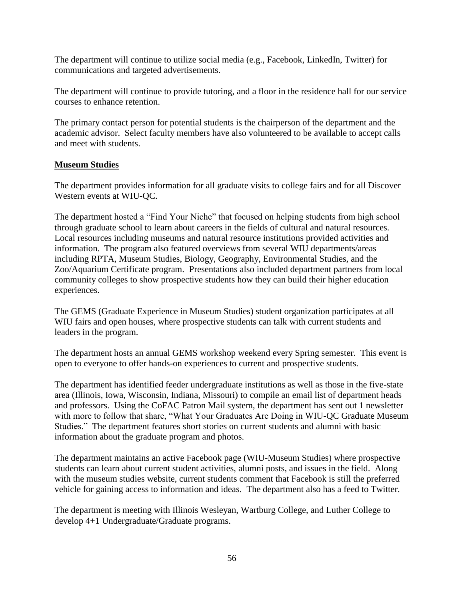The department will continue to utilize social media (e.g., Facebook, LinkedIn, Twitter) for communications and targeted advertisements.

The department will continue to provide tutoring, and a floor in the residence hall for our service courses to enhance retention.

The primary contact person for potential students is the chairperson of the department and the academic advisor. Select faculty members have also volunteered to be available to accept calls and meet with students.

### **Museum Studies**

The department provides information for all graduate visits to college fairs and for all Discover Western events at WIU-QC.

The department hosted a "Find Your Niche" that focused on helping students from high school through graduate school to learn about careers in the fields of cultural and natural resources. Local resources including museums and natural resource institutions provided activities and information. The program also featured overviews from several WIU departments/areas including RPTA, Museum Studies, Biology, Geography, Environmental Studies, and the Zoo/Aquarium Certificate program. Presentations also included department partners from local community colleges to show prospective students how they can build their higher education experiences.

The GEMS (Graduate Experience in Museum Studies) student organization participates at all WIU fairs and open houses, where prospective students can talk with current students and leaders in the program.

The department hosts an annual GEMS workshop weekend every Spring semester. This event is open to everyone to offer hands-on experiences to current and prospective students.

The department has identified feeder undergraduate institutions as well as those in the five-state area (Illinois, Iowa, Wisconsin, Indiana, Missouri) to compile an email list of department heads and professors. Using the CoFAC Patron Mail system, the department has sent out 1 newsletter with more to follow that share, "What Your Graduates Are Doing in WIU-QC Graduate Museum Studies." The department features short stories on current students and alumni with basic information about the graduate program and photos.

The department maintains an active Facebook page (WIU-Museum Studies) where prospective students can learn about current student activities, alumni posts, and issues in the field. Along with the museum studies website, current students comment that Facebook is still the preferred vehicle for gaining access to information and ideas. The department also has a feed to Twitter.

The department is meeting with Illinois Wesleyan, Wartburg College, and Luther College to develop 4+1 Undergraduate/Graduate programs.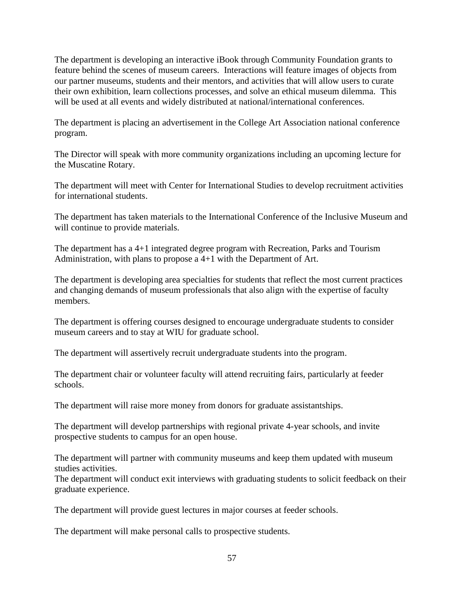The department is developing an interactive iBook through Community Foundation grants to feature behind the scenes of museum careers. Interactions will feature images of objects from our partner museums, students and their mentors, and activities that will allow users to curate their own exhibition, learn collections processes, and solve an ethical museum dilemma. This will be used at all events and widely distributed at national/international conferences.

The department is placing an advertisement in the College Art Association national conference program.

The Director will speak with more community organizations including an upcoming lecture for the Muscatine Rotary.

The department will meet with Center for International Studies to develop recruitment activities for international students.

The department has taken materials to the International Conference of the Inclusive Museum and will continue to provide materials.

The department has a 4+1 integrated degree program with Recreation, Parks and Tourism Administration, with plans to propose a 4+1 with the Department of Art.

The department is developing area specialties for students that reflect the most current practices and changing demands of museum professionals that also align with the expertise of faculty members.

The department is offering courses designed to encourage undergraduate students to consider museum careers and to stay at WIU for graduate school.

The department will assertively recruit undergraduate students into the program.

The department chair or volunteer faculty will attend recruiting fairs, particularly at feeder schools.

The department will raise more money from donors for graduate assistantships.

The department will develop partnerships with regional private 4-year schools, and invite prospective students to campus for an open house.

The department will partner with community museums and keep them updated with museum studies activities.

The department will conduct exit interviews with graduating students to solicit feedback on their graduate experience.

The department will provide guest lectures in major courses at feeder schools.

The department will make personal calls to prospective students.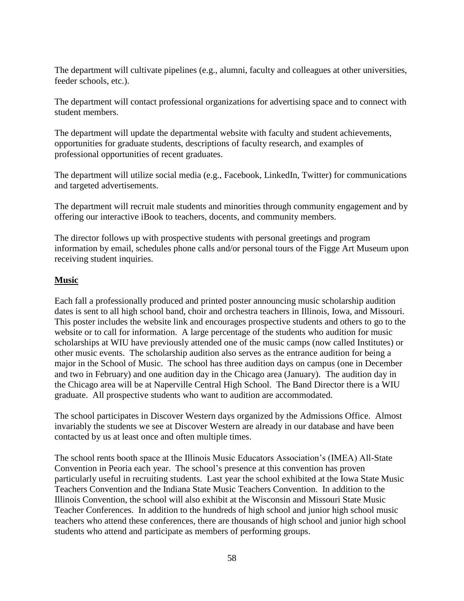The department will cultivate pipelines (e.g., alumni, faculty and colleagues at other universities, feeder schools, etc.).

The department will contact professional organizations for advertising space and to connect with student members.

The department will update the departmental website with faculty and student achievements, opportunities for graduate students, descriptions of faculty research, and examples of professional opportunities of recent graduates.

The department will utilize social media (e.g., Facebook, LinkedIn, Twitter) for communications and targeted advertisements.

The department will recruit male students and minorities through community engagement and by offering our interactive iBook to teachers, docents, and community members.

The director follows up with prospective students with personal greetings and program information by email, schedules phone calls and/or personal tours of the Figge Art Museum upon receiving student inquiries.

## **Music**

Each fall a professionally produced and printed poster announcing music scholarship audition dates is sent to all high school band, choir and orchestra teachers in Illinois, Iowa, and Missouri. This poster includes the website link and encourages prospective students and others to go to the website or to call for information. A large percentage of the students who audition for music scholarships at WIU have previously attended one of the music camps (now called Institutes) or other music events. The scholarship audition also serves as the entrance audition for being a major in the School of Music. The school has three audition days on campus (one in December and two in February) and one audition day in the Chicago area (January). The audition day in the Chicago area will be at Naperville Central High School. The Band Director there is a WIU graduate. All prospective students who want to audition are accommodated.

The school participates in Discover Western days organized by the Admissions Office. Almost invariably the students we see at Discover Western are already in our database and have been contacted by us at least once and often multiple times.

The school rents booth space at the Illinois Music Educators Association's (IMEA) All-State Convention in Peoria each year. The school's presence at this convention has proven particularly useful in recruiting students. Last year the school exhibited at the Iowa State Music Teachers Convention and the Indiana State Music Teachers Convention. In addition to the Illinois Convention, the school will also exhibit at the Wisconsin and Missouri State Music Teacher Conferences. In addition to the hundreds of high school and junior high school music teachers who attend these conferences, there are thousands of high school and junior high school students who attend and participate as members of performing groups.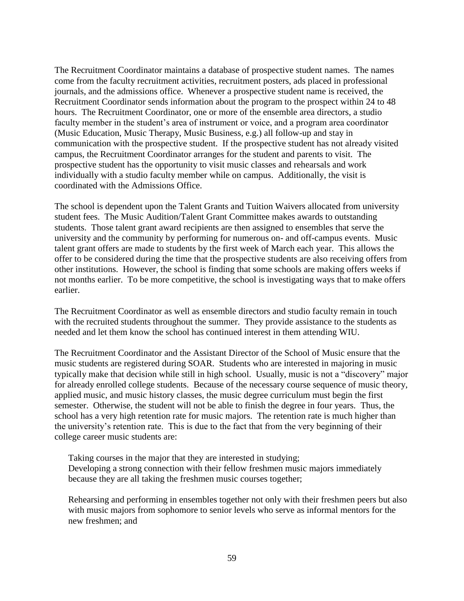The Recruitment Coordinator maintains a database of prospective student names. The names come from the faculty recruitment activities, recruitment posters, ads placed in professional journals, and the admissions office. Whenever a prospective student name is received, the Recruitment Coordinator sends information about the program to the prospect within 24 to 48 hours. The Recruitment Coordinator, one or more of the ensemble area directors, a studio faculty member in the student's area of instrument or voice, and a program area coordinator (Music Education, Music Therapy, Music Business, e.g.) all follow-up and stay in communication with the prospective student. If the prospective student has not already visited campus, the Recruitment Coordinator arranges for the student and parents to visit. The prospective student has the opportunity to visit music classes and rehearsals and work individually with a studio faculty member while on campus. Additionally, the visit is coordinated with the Admissions Office.

The school is dependent upon the Talent Grants and Tuition Waivers allocated from university student fees. The Music Audition/Talent Grant Committee makes awards to outstanding students. Those talent grant award recipients are then assigned to ensembles that serve the university and the community by performing for numerous on- and off-campus events. Music talent grant offers are made to students by the first week of March each year. This allows the offer to be considered during the time that the prospective students are also receiving offers from other institutions. However, the school is finding that some schools are making offers weeks if not months earlier. To be more competitive, the school is investigating ways that to make offers earlier.

The Recruitment Coordinator as well as ensemble directors and studio faculty remain in touch with the recruited students throughout the summer. They provide assistance to the students as needed and let them know the school has continued interest in them attending WIU.

The Recruitment Coordinator and the Assistant Director of the School of Music ensure that the music students are registered during SOAR. Students who are interested in majoring in music typically make that decision while still in high school. Usually, music is not a "discovery" major for already enrolled college students. Because of the necessary course sequence of music theory, applied music, and music history classes, the music degree curriculum must begin the first semester. Otherwise, the student will not be able to finish the degree in four years. Thus, the school has a very high retention rate for music majors. The retention rate is much higher than the university's retention rate. This is due to the fact that from the very beginning of their college career music students are:

Taking courses in the major that they are interested in studying; Developing a strong connection with their fellow freshmen music majors immediately because they are all taking the freshmen music courses together;

Rehearsing and performing in ensembles together not only with their freshmen peers but also with music majors from sophomore to senior levels who serve as informal mentors for the new freshmen; and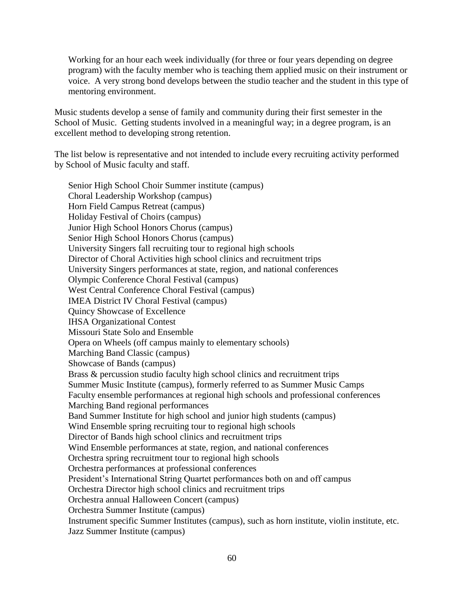Working for an hour each week individually (for three or four years depending on degree program) with the faculty member who is teaching them applied music on their instrument or voice. A very strong bond develops between the studio teacher and the student in this type of mentoring environment.

Music students develop a sense of family and community during their first semester in the School of Music. Getting students involved in a meaningful way; in a degree program, is an excellent method to developing strong retention.

The list below is representative and not intended to include every recruiting activity performed by School of Music faculty and staff.

Senior High School Choir Summer institute (campus) Choral Leadership Workshop (campus) Horn Field Campus Retreat (campus) Holiday Festival of Choirs (campus) Junior High School Honors Chorus (campus) Senior High School Honors Chorus (campus) University Singers fall recruiting tour to regional high schools Director of Choral Activities high school clinics and recruitment trips University Singers performances at state, region, and national conferences Olympic Conference Choral Festival (campus) West Central Conference Choral Festival (campus) IMEA District IV Choral Festival (campus) Quincy Showcase of Excellence IHSA Organizational Contest Missouri State Solo and Ensemble Opera on Wheels (off campus mainly to elementary schools) Marching Band Classic (campus) Showcase of Bands (campus) Brass & percussion studio faculty high school clinics and recruitment trips Summer Music Institute (campus), formerly referred to as Summer Music Camps Faculty ensemble performances at regional high schools and professional conferences Marching Band regional performances Band Summer Institute for high school and junior high students (campus) Wind Ensemble spring recruiting tour to regional high schools Director of Bands high school clinics and recruitment trips Wind Ensemble performances at state, region, and national conferences Orchestra spring recruitment tour to regional high schools Orchestra performances at professional conferences President's International String Quartet performances both on and off campus Orchestra Director high school clinics and recruitment trips Orchestra annual Halloween Concert (campus) Orchestra Summer Institute (campus) Instrument specific Summer Institutes (campus), such as horn institute, violin institute, etc. Jazz Summer Institute (campus)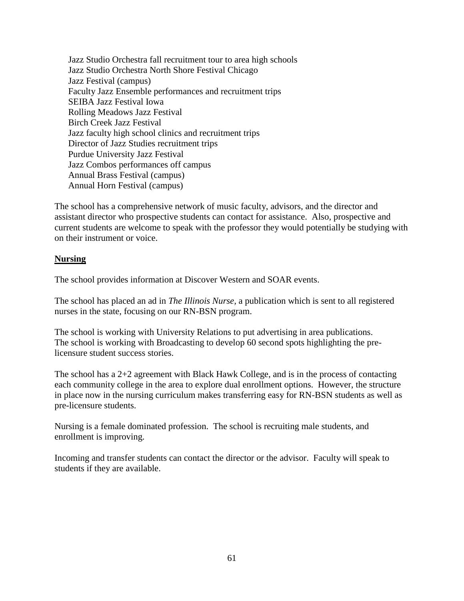Jazz Studio Orchestra fall recruitment tour to area high schools Jazz Studio Orchestra North Shore Festival Chicago Jazz Festival (campus) Faculty Jazz Ensemble performances and recruitment trips SEIBA Jazz Festival Iowa Rolling Meadows Jazz Festival Birch Creek Jazz Festival Jazz faculty high school clinics and recruitment trips Director of Jazz Studies recruitment trips Purdue University Jazz Festival Jazz Combos performances off campus Annual Brass Festival (campus) Annual Horn Festival (campus)

The school has a comprehensive network of music faculty, advisors, and the director and assistant director who prospective students can contact for assistance. Also, prospective and current students are welcome to speak with the professor they would potentially be studying with on their instrument or voice.

### **Nursing**

The school provides information at Discover Western and SOAR events.

The school has placed an ad in *The Illinois Nurse,* a publication which is sent to all registered nurses in the state, focusing on our RN-BSN program.

The school is working with University Relations to put advertising in area publications. The school is working with Broadcasting to develop 60 second spots highlighting the prelicensure student success stories.

The school has a 2+2 agreement with Black Hawk College, and is in the process of contacting each community college in the area to explore dual enrollment options. However, the structure in place now in the nursing curriculum makes transferring easy for RN-BSN students as well as pre-licensure students.

Nursing is a female dominated profession. The school is recruiting male students, and enrollment is improving.

Incoming and transfer students can contact the director or the advisor. Faculty will speak to students if they are available.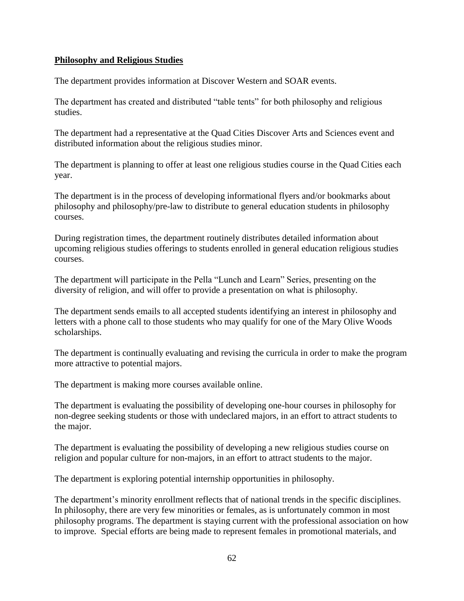#### **Philosophy and Religious Studies**

The department provides information at Discover Western and SOAR events.

The department has created and distributed "table tents" for both philosophy and religious studies.

The department had a representative at the Quad Cities Discover Arts and Sciences event and distributed information about the religious studies minor.

The department is planning to offer at least one religious studies course in the Quad Cities each year.

The department is in the process of developing informational flyers and/or bookmarks about philosophy and philosophy/pre-law to distribute to general education students in philosophy courses.

During registration times, the department routinely distributes detailed information about upcoming religious studies offerings to students enrolled in general education religious studies courses.

The department will participate in the Pella "Lunch and Learn" Series, presenting on the diversity of religion, and will offer to provide a presentation on what is philosophy.

The department sends emails to all accepted students identifying an interest in philosophy and letters with a phone call to those students who may qualify for one of the Mary Olive Woods scholarships.

The department is continually evaluating and revising the curricula in order to make the program more attractive to potential majors.

The department is making more courses available online.

The department is evaluating the possibility of developing one-hour courses in philosophy for non-degree seeking students or those with undeclared majors, in an effort to attract students to the major.

The department is evaluating the possibility of developing a new religious studies course on religion and popular culture for non-majors, in an effort to attract students to the major.

The department is exploring potential internship opportunities in philosophy.

The department's minority enrollment reflects that of national trends in the specific disciplines. In philosophy, there are very few minorities or females, as is unfortunately common in most philosophy programs. The department is staying current with the professional association on how to improve. Special efforts are being made to represent females in promotional materials, and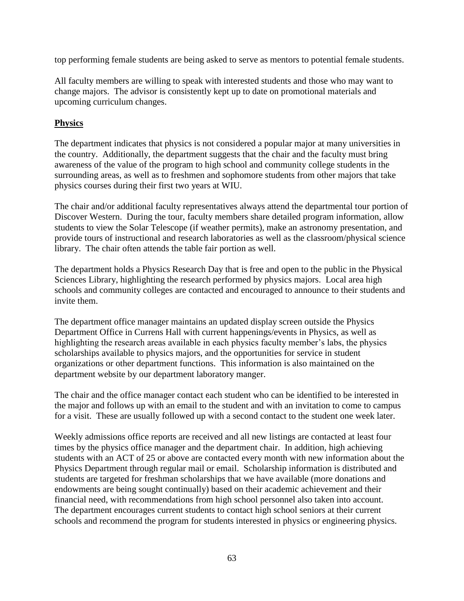top performing female students are being asked to serve as mentors to potential female students.

All faculty members are willing to speak with interested students and those who may want to change majors. The advisor is consistently kept up to date on promotional materials and upcoming curriculum changes.

## **Physics**

The department indicates that physics is not considered a popular major at many universities in the country. Additionally, the department suggests that the chair and the faculty must bring awareness of the value of the program to high school and community college students in the surrounding areas, as well as to freshmen and sophomore students from other majors that take physics courses during their first two years at WIU.

The chair and/or additional faculty representatives always attend the departmental tour portion of Discover Western. During the tour, faculty members share detailed program information, allow students to view the Solar Telescope (if weather permits), make an astronomy presentation, and provide tours of instructional and research laboratories as well as the classroom/physical science library. The chair often attends the table fair portion as well.

The department holds a Physics Research Day that is free and open to the public in the Physical Sciences Library, highlighting the research performed by physics majors. Local area high schools and community colleges are contacted and encouraged to announce to their students and invite them.

The department office manager maintains an updated display screen outside the Physics Department Office in Currens Hall with current happenings/events in Physics, as well as highlighting the research areas available in each physics faculty member's labs, the physics scholarships available to physics majors, and the opportunities for service in student organizations or other department functions. This information is also maintained on the department website by our department laboratory manger.

The chair and the office manager contact each student who can be identified to be interested in the major and follows up with an email to the student and with an invitation to come to campus for a visit. These are usually followed up with a second contact to the student one week later.

Weekly admissions office reports are received and all new listings are contacted at least four times by the physics office manager and the department chair. In addition, high achieving students with an ACT of 25 or above are contacted every month with new information about the Physics Department through regular mail or email. Scholarship information is distributed and students are targeted for freshman scholarships that we have available (more donations and endowments are being sought continually) based on their academic achievement and their financial need, with recommendations from high school personnel also taken into account. The department encourages current students to contact high school seniors at their current schools and recommend the program for students interested in physics or engineering physics.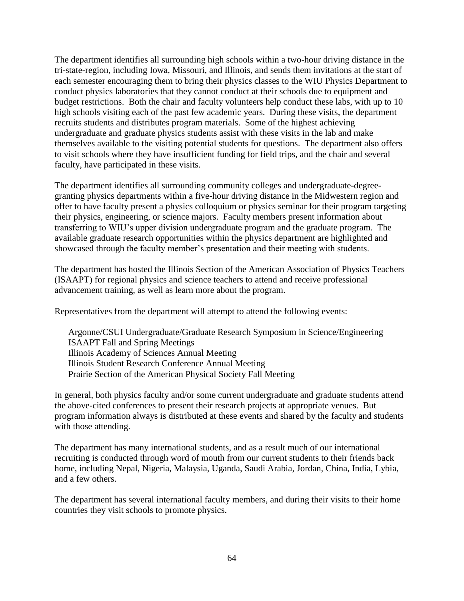The department identifies all surrounding high schools within a two-hour driving distance in the tri-state-region, including Iowa, Missouri, and Illinois, and sends them invitations at the start of each semester encouraging them to bring their physics classes to the WIU Physics Department to conduct physics laboratories that they cannot conduct at their schools due to equipment and budget restrictions. Both the chair and faculty volunteers help conduct these labs, with up to 10 high schools visiting each of the past few academic years. During these visits, the department recruits students and distributes program materials. Some of the highest achieving undergraduate and graduate physics students assist with these visits in the lab and make themselves available to the visiting potential students for questions. The department also offers to visit schools where they have insufficient funding for field trips, and the chair and several faculty, have participated in these visits.

The department identifies all surrounding community colleges and undergraduate-degreegranting physics departments within a five-hour driving distance in the Midwestern region and offer to have faculty present a physics colloquium or physics seminar for their program targeting their physics, engineering, or science majors. Faculty members present information about transferring to WIU's upper division undergraduate program and the graduate program. The available graduate research opportunities within the physics department are highlighted and showcased through the faculty member's presentation and their meeting with students.

The department has hosted the Illinois Section of the American Association of Physics Teachers (ISAAPT) for regional physics and science teachers to attend and receive professional advancement training, as well as learn more about the program.

Representatives from the department will attempt to attend the following events:

Argonne/CSUI Undergraduate/Graduate Research Symposium in Science/Engineering ISAAPT Fall and Spring Meetings Illinois Academy of Sciences Annual Meeting Illinois Student Research Conference Annual Meeting Prairie Section of the American Physical Society Fall Meeting

In general, both physics faculty and/or some current undergraduate and graduate students attend the above-cited conferences to present their research projects at appropriate venues. But program information always is distributed at these events and shared by the faculty and students with those attending.

The department has many international students, and as a result much of our international recruiting is conducted through word of mouth from our current students to their friends back home, including Nepal, Nigeria, Malaysia, Uganda, Saudi Arabia, Jordan, China, India, Lybia, and a few others.

The department has several international faculty members, and during their visits to their home countries they visit schools to promote physics.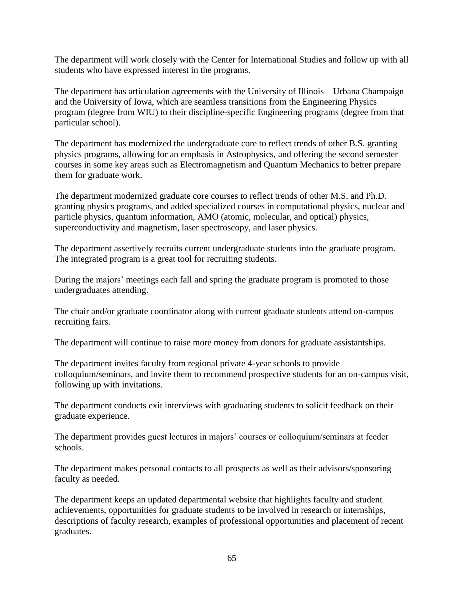The department will work closely with the Center for International Studies and follow up with all students who have expressed interest in the programs.

The department has articulation agreements with the University of Illinois – Urbana Champaign and the University of Iowa, which are seamless transitions from the Engineering Physics program (degree from WIU) to their discipline-specific Engineering programs (degree from that particular school).

The department has modernized the undergraduate core to reflect trends of other B.S. granting physics programs, allowing for an emphasis in Astrophysics, and offering the second semester courses in some key areas such as Electromagnetism and Quantum Mechanics to better prepare them for graduate work.

The department modernized graduate core courses to reflect trends of other M.S. and Ph.D. granting physics programs, and added specialized courses in computational physics, nuclear and particle physics, quantum information, AMO (atomic, molecular, and optical) physics, superconductivity and magnetism, laser spectroscopy, and laser physics.

The department assertively recruits current undergraduate students into the graduate program. The integrated program is a great tool for recruiting students.

During the majors' meetings each fall and spring the graduate program is promoted to those undergraduates attending.

The chair and/or graduate coordinator along with current graduate students attend on-campus recruiting fairs.

The department will continue to raise more money from donors for graduate assistantships.

The department invites faculty from regional private 4-year schools to provide colloquium/seminars, and invite them to recommend prospective students for an on-campus visit, following up with invitations.

The department conducts exit interviews with graduating students to solicit feedback on their graduate experience.

The department provides guest lectures in majors' courses or colloquium/seminars at feeder schools.

The department makes personal contacts to all prospects as well as their advisors/sponsoring faculty as needed.

The department keeps an updated departmental website that highlights faculty and student achievements, opportunities for graduate students to be involved in research or internships, descriptions of faculty research, examples of professional opportunities and placement of recent graduates.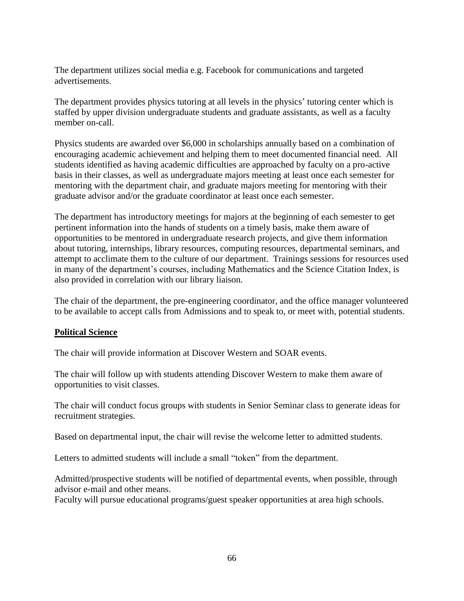The department utilizes social media e.g. Facebook for communications and targeted advertisements.

The department provides physics tutoring at all levels in the physics' tutoring center which is staffed by upper division undergraduate students and graduate assistants, as well as a faculty member on-call.

Physics students are awarded over \$6,000 in scholarships annually based on a combination of encouraging academic achievement and helping them to meet documented financial need. All students identified as having academic difficulties are approached by faculty on a pro-active basis in their classes, as well as undergraduate majors meeting at least once each semester for mentoring with the department chair, and graduate majors meeting for mentoring with their graduate advisor and/or the graduate coordinator at least once each semester.

The department has introductory meetings for majors at the beginning of each semester to get pertinent information into the hands of students on a timely basis, make them aware of opportunities to be mentored in undergraduate research projects, and give them information about tutoring, internships, library resources, computing resources, departmental seminars, and attempt to acclimate them to the culture of our department. Trainings sessions for resources used in many of the department's courses, including Mathematics and the Science Citation Index, is also provided in correlation with our library liaison.

The chair of the department, the pre-engineering coordinator, and the office manager volunteered to be available to accept calls from Admissions and to speak to, or meet with, potential students.

#### **Political Science**

The chair will provide information at Discover Western and SOAR events.

The chair will follow up with students attending Discover Western to make them aware of opportunities to visit classes.

The chair will conduct focus groups with students in Senior Seminar class to generate ideas for recruitment strategies.

Based on departmental input, the chair will revise the welcome letter to admitted students.

Letters to admitted students will include a small "token" from the department.

Admitted/prospective students will be notified of departmental events, when possible, through advisor e-mail and other means.

Faculty will pursue educational programs/guest speaker opportunities at area high schools.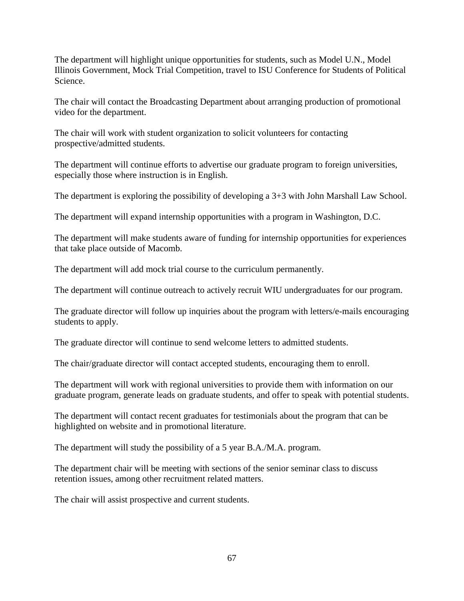The department will highlight unique opportunities for students, such as Model U.N., Model Illinois Government, Mock Trial Competition, travel to ISU Conference for Students of Political Science.

The chair will contact the Broadcasting Department about arranging production of promotional video for the department.

The chair will work with student organization to solicit volunteers for contacting prospective/admitted students.

The department will continue efforts to advertise our graduate program to foreign universities, especially those where instruction is in English.

The department is exploring the possibility of developing a 3+3 with John Marshall Law School.

The department will expand internship opportunities with a program in Washington, D.C.

The department will make students aware of funding for internship opportunities for experiences that take place outside of Macomb.

The department will add mock trial course to the curriculum permanently.

The department will continue outreach to actively recruit WIU undergraduates for our program.

The graduate director will follow up inquiries about the program with letters/e-mails encouraging students to apply.

The graduate director will continue to send welcome letters to admitted students.

The chair/graduate director will contact accepted students, encouraging them to enroll.

The department will work with regional universities to provide them with information on our graduate program, generate leads on graduate students, and offer to speak with potential students.

The department will contact recent graduates for testimonials about the program that can be highlighted on website and in promotional literature.

The department will study the possibility of a 5 year B.A./M.A. program.

The department chair will be meeting with sections of the senior seminar class to discuss retention issues, among other recruitment related matters.

The chair will assist prospective and current students.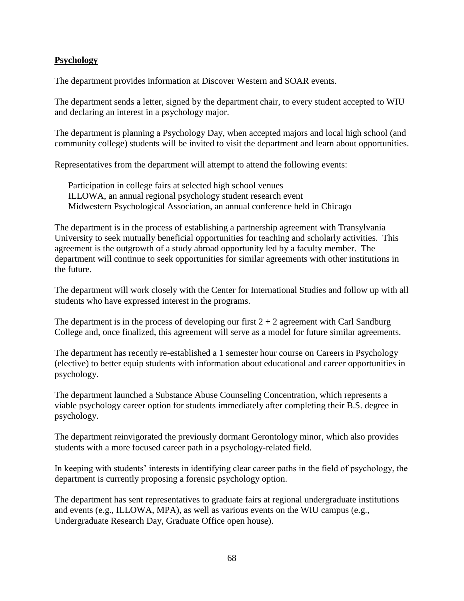### **Psychology**

The department provides information at Discover Western and SOAR events.

The department sends a letter, signed by the department chair, to every student accepted to WIU and declaring an interest in a psychology major.

The department is planning a Psychology Day, when accepted majors and local high school (and community college) students will be invited to visit the department and learn about opportunities.

Representatives from the department will attempt to attend the following events:

Participation in college fairs at selected high school venues ILLOWA, an annual regional psychology student research event Midwestern Psychological Association, an annual conference held in Chicago

The department is in the process of establishing a partnership agreement with Transylvania University to seek mutually beneficial opportunities for teaching and scholarly activities. This agreement is the outgrowth of a study abroad opportunity led by a faculty member. The department will continue to seek opportunities for similar agreements with other institutions in the future.

The department will work closely with the Center for International Studies and follow up with all students who have expressed interest in the programs.

The department is in the process of developing our first  $2 + 2$  agreement with Carl Sandburg College and, once finalized, this agreement will serve as a model for future similar agreements.

The department has recently re-established a 1 semester hour course on Careers in Psychology (elective) to better equip students with information about educational and career opportunities in psychology.

The department launched a Substance Abuse Counseling Concentration, which represents a viable psychology career option for students immediately after completing their B.S. degree in psychology.

The department reinvigorated the previously dormant Gerontology minor, which also provides students with a more focused career path in a psychology-related field.

In keeping with students' interests in identifying clear career paths in the field of psychology, the department is currently proposing a forensic psychology option.

The department has sent representatives to graduate fairs at regional undergraduate institutions and events (e.g., ILLOWA, MPA), as well as various events on the WIU campus (e.g., Undergraduate Research Day, Graduate Office open house).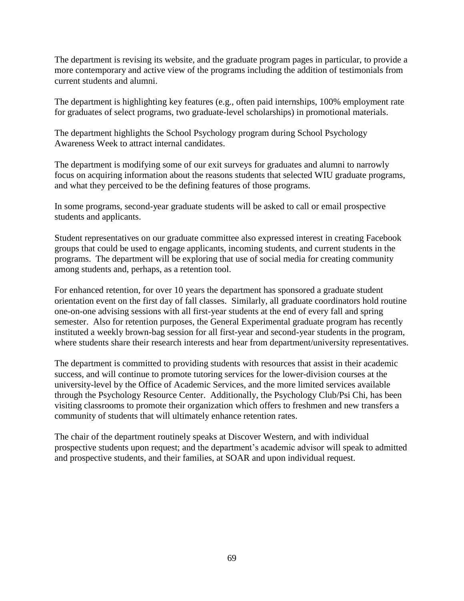The department is revising its website, and the graduate program pages in particular, to provide a more contemporary and active view of the programs including the addition of testimonials from current students and alumni.

The department is highlighting key features (e.g., often paid internships, 100% employment rate for graduates of select programs, two graduate-level scholarships) in promotional materials.

The department highlights the School Psychology program during School Psychology Awareness Week to attract internal candidates.

The department is modifying some of our exit surveys for graduates and alumni to narrowly focus on acquiring information about the reasons students that selected WIU graduate programs, and what they perceived to be the defining features of those programs.

In some programs, second-year graduate students will be asked to call or email prospective students and applicants.

Student representatives on our graduate committee also expressed interest in creating Facebook groups that could be used to engage applicants, incoming students, and current students in the programs. The department will be exploring that use of social media for creating community among students and, perhaps, as a retention tool.

For enhanced retention, for over 10 years the department has sponsored a graduate student orientation event on the first day of fall classes. Similarly, all graduate coordinators hold routine one-on-one advising sessions with all first-year students at the end of every fall and spring semester. Also for retention purposes, the General Experimental graduate program has recently instituted a weekly brown-bag session for all first-year and second-year students in the program, where students share their research interests and hear from department/university representatives.

The department is committed to providing students with resources that assist in their academic success, and will continue to promote tutoring services for the lower-division courses at the university-level by the Office of Academic Services, and the more limited services available through the Psychology Resource Center. Additionally, the Psychology Club/Psi Chi, has been visiting classrooms to promote their organization which offers to freshmen and new transfers a community of students that will ultimately enhance retention rates.

The chair of the department routinely speaks at Discover Western, and with individual prospective students upon request; and the department's academic advisor will speak to admitted and prospective students, and their families, at SOAR and upon individual request.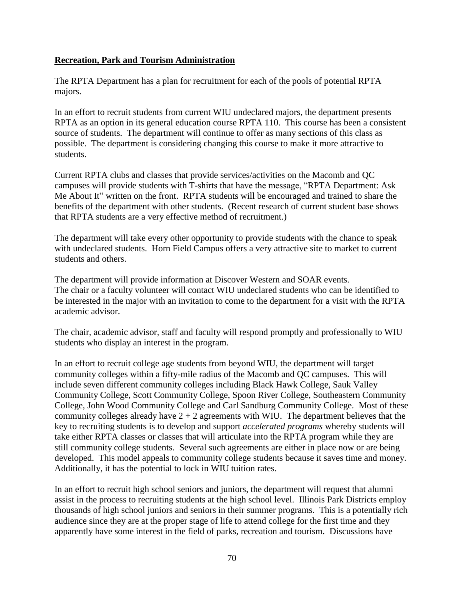### **Recreation, Park and Tourism Administration**

The RPTA Department has a plan for recruitment for each of the pools of potential RPTA majors.

In an effort to recruit students from current WIU undeclared majors, the department presents RPTA as an option in its general education course RPTA 110. This course has been a consistent source of students. The department will continue to offer as many sections of this class as possible. The department is considering changing this course to make it more attractive to students.

Current RPTA clubs and classes that provide services/activities on the Macomb and QC campuses will provide students with T-shirts that have the message, "RPTA Department: Ask Me About It" written on the front. RPTA students will be encouraged and trained to share the benefits of the department with other students. (Recent research of current student base shows that RPTA students are a very effective method of recruitment.)

The department will take every other opportunity to provide students with the chance to speak with undeclared students. Horn Field Campus offers a very attractive site to market to current students and others.

The department will provide information at Discover Western and SOAR events. The chair or a faculty volunteer will contact WIU undeclared students who can be identified to be interested in the major with an invitation to come to the department for a visit with the RPTA academic advisor.

The chair, academic advisor, staff and faculty will respond promptly and professionally to WIU students who display an interest in the program.

In an effort to recruit college age students from beyond WIU, the department will target community colleges within a fifty-mile radius of the Macomb and QC campuses. This will include seven different community colleges including Black Hawk College, Sauk Valley Community College, Scott Community College, Spoon River College, Southeastern Community College, John Wood Community College and Carl Sandburg Community College. Most of these community colleges already have  $2 + 2$  agreements with WIU. The department believes that the key to recruiting students is to develop and support *accelerated programs* whereby students will take either RPTA classes or classes that will articulate into the RPTA program while they are still community college students. Several such agreements are either in place now or are being developed. This model appeals to community college students because it saves time and money. Additionally, it has the potential to lock in WIU tuition rates.

In an effort to recruit high school seniors and juniors, the department will request that alumni assist in the process to recruiting students at the high school level. Illinois Park Districts employ thousands of high school juniors and seniors in their summer programs. This is a potentially rich audience since they are at the proper stage of life to attend college for the first time and they apparently have some interest in the field of parks, recreation and tourism. Discussions have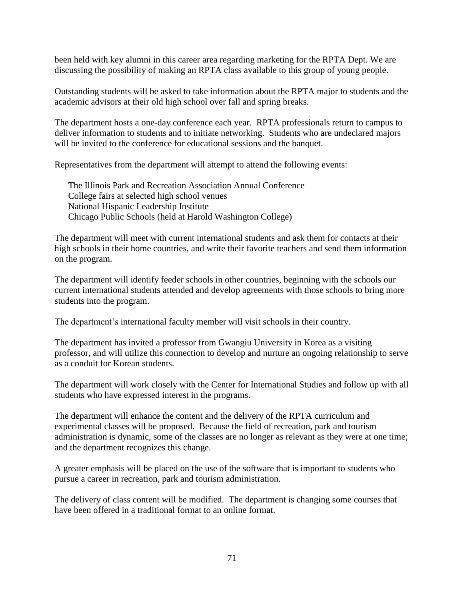been held with key alumni in this career area regarding marketing for the RPTA Dept. We are discussing the possibility of making an RPTA class available to this group of young people.

Outstanding students will be asked to take information about the RPTA major to students and the academic advisors at their old high school over fall and spring breaks.

The department hosts a one-day conference each year. RPTA professionals return to campus to deliver information to students and to initiate networking. Students who are undeclared majors will be invited to the conference for educational sessions and the banquet.

Representatives from the department will attempt to attend the following events:

The Illinois Park and Recreation Association Annual Conference College fairs at selected high school venues National Hispanic Leadership Institute Chicago Public Schools (held at Harold Washington College)

The department will meet with current international students and ask them for contacts at their high schools in their home countries, and write their favorite teachers and send them information on the program.

The department will identify feeder schools in other countries, beginning with the schools our current international students attended and develop agreements with those schools to bring more students into the program.

The department's international faculty member will visit schools in their country.

The department has invited a professor from Gwangiu University in Korea as a visiting professor, and will utilize this connection to develop and nurture an ongoing relationship to serve as a conduit for Korean students.

The department will work closely with the Center for International Studies and follow up with all students who have expressed interest in the programs.

The department will enhance the content and the delivery of the RPTA curriculum and experimental classes will be proposed. Because the field of recreation, park and tourism administration is dynamic, some of the classes are no longer as relevant as they were at one time; and the department recognizes this change.

A greater emphasis will be placed on the use of the software that is important to students who pursue a career in recreation, park and tourism administration.

The delivery of class content will be modified. The department is changing some courses that have been offered in a traditional format to an online format.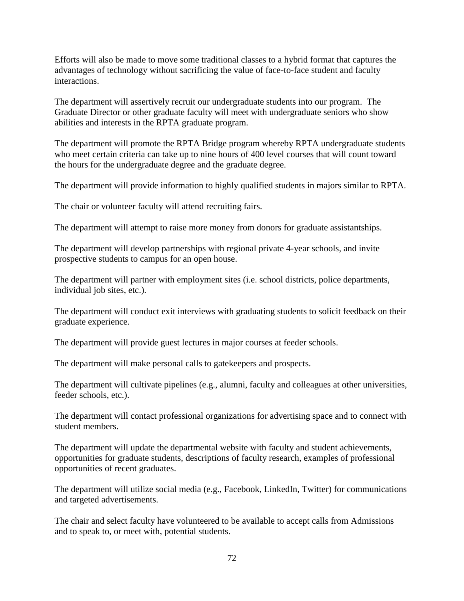Efforts will also be made to move some traditional classes to a hybrid format that captures the advantages of technology without sacrificing the value of face-to-face student and faculty interactions.

The department will assertively recruit our undergraduate students into our program. The Graduate Director or other graduate faculty will meet with undergraduate seniors who show abilities and interests in the RPTA graduate program.

The department will promote the RPTA Bridge program whereby RPTA undergraduate students who meet certain criteria can take up to nine hours of 400 level courses that will count toward the hours for the undergraduate degree and the graduate degree.

The department will provide information to highly qualified students in majors similar to RPTA.

The chair or volunteer faculty will attend recruiting fairs.

The department will attempt to raise more money from donors for graduate assistantships.

The department will develop partnerships with regional private 4-year schools, and invite prospective students to campus for an open house.

The department will partner with employment sites (i.e. school districts, police departments, individual job sites, etc.).

The department will conduct exit interviews with graduating students to solicit feedback on their graduate experience.

The department will provide guest lectures in major courses at feeder schools.

The department will make personal calls to gatekeepers and prospects.

The department will cultivate pipelines (e.g., alumni, faculty and colleagues at other universities, feeder schools, etc.).

The department will contact professional organizations for advertising space and to connect with student members.

The department will update the departmental website with faculty and student achievements, opportunities for graduate students, descriptions of faculty research, examples of professional opportunities of recent graduates.

The department will utilize social media (e.g., Facebook, LinkedIn, Twitter) for communications and targeted advertisements.

The chair and select faculty have volunteered to be available to accept calls from Admissions and to speak to, or meet with, potential students.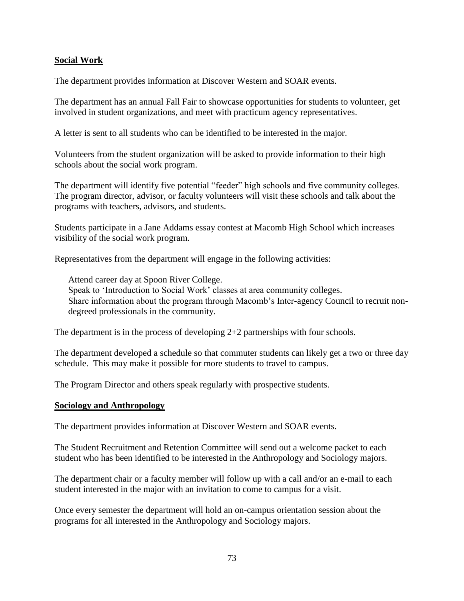# **Social Work**

The department provides information at Discover Western and SOAR events.

The department has an annual Fall Fair to showcase opportunities for students to volunteer, get involved in student organizations, and meet with practicum agency representatives.

A letter is sent to all students who can be identified to be interested in the major.

Volunteers from the student organization will be asked to provide information to their high schools about the social work program.

The department will identify five potential "feeder" high schools and five community colleges. The program director, advisor, or faculty volunteers will visit these schools and talk about the programs with teachers, advisors, and students.

Students participate in a Jane Addams essay contest at Macomb High School which increases visibility of the social work program.

Representatives from the department will engage in the following activities:

Attend career day at Spoon River College. Speak to 'Introduction to Social Work' classes at area community colleges. Share information about the program through Macomb's Inter-agency Council to recruit nondegreed professionals in the community.

The department is in the process of developing 2+2 partnerships with four schools.

The department developed a schedule so that commuter students can likely get a two or three day schedule. This may make it possible for more students to travel to campus.

The Program Director and others speak regularly with prospective students.

#### **Sociology and Anthropology**

The department provides information at Discover Western and SOAR events.

The Student Recruitment and Retention Committee will send out a welcome packet to each student who has been identified to be interested in the Anthropology and Sociology majors.

The department chair or a faculty member will follow up with a call and/or an e-mail to each student interested in the major with an invitation to come to campus for a visit.

Once every semester the department will hold an on-campus orientation session about the programs for all interested in the Anthropology and Sociology majors.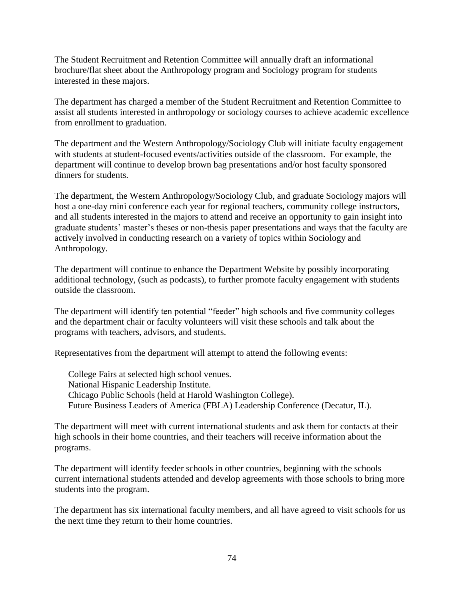The Student Recruitment and Retention Committee will annually draft an informational brochure/flat sheet about the Anthropology program and Sociology program for students interested in these majors.

The department has charged a member of the Student Recruitment and Retention Committee to assist all students interested in anthropology or sociology courses to achieve academic excellence from enrollment to graduation.

The department and the Western Anthropology/Sociology Club will initiate faculty engagement with students at student-focused events/activities outside of the classroom. For example, the department will continue to develop brown bag presentations and/or host faculty sponsored dinners for students.

The department, the Western Anthropology/Sociology Club, and graduate Sociology majors will host a one-day mini conference each year for regional teachers, community college instructors, and all students interested in the majors to attend and receive an opportunity to gain insight into graduate students' master's theses or non-thesis paper presentations and ways that the faculty are actively involved in conducting research on a variety of topics within Sociology and Anthropology.

The department will continue to enhance the Department Website by possibly incorporating additional technology, (such as podcasts), to further promote faculty engagement with students outside the classroom.

The department will identify ten potential "feeder" high schools and five community colleges and the department chair or faculty volunteers will visit these schools and talk about the programs with teachers, advisors, and students.

Representatives from the department will attempt to attend the following events:

College Fairs at selected high school venues. National Hispanic Leadership Institute. Chicago Public Schools (held at Harold Washington College). Future Business Leaders of America (FBLA) Leadership Conference (Decatur, IL).

The department will meet with current international students and ask them for contacts at their high schools in their home countries, and their teachers will receive information about the programs.

The department will identify feeder schools in other countries, beginning with the schools current international students attended and develop agreements with those schools to bring more students into the program.

The department has six international faculty members, and all have agreed to visit schools for us the next time they return to their home countries.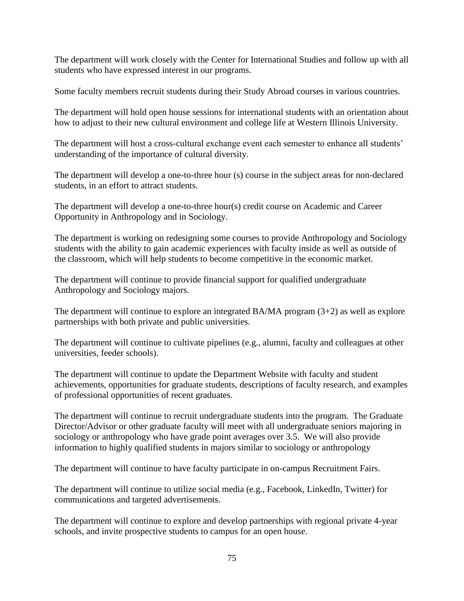The department will work closely with the Center for International Studies and follow up with all students who have expressed interest in our programs.

Some faculty members recruit students during their Study Abroad courses in various countries.

The department will hold open house sessions for international students with an orientation about how to adjust to their new cultural environment and college life at Western Illinois University.

The department will host a cross-cultural exchange event each semester to enhance all students' understanding of the importance of cultural diversity.

The department will develop a one-to-three hour (s) course in the subject areas for non-declared students, in an effort to attract students.

The department will develop a one-to-three hour(s) credit course on Academic and Career Opportunity in Anthropology and in Sociology.

The department is working on redesigning some courses to provide Anthropology and Sociology students with the ability to gain academic experiences with faculty inside as well as outside of the classroom, which will help students to become competitive in the economic market.

The department will continue to provide financial support for qualified undergraduate Anthropology and Sociology majors.

The department will continue to explore an integrated BA/MA program  $(3+2)$  as well as explore partnerships with both private and public universities.

The department will continue to cultivate pipelines (e.g., alumni, faculty and colleagues at other universities, feeder schools).

The department will continue to update the Department Website with faculty and student achievements, opportunities for graduate students, descriptions of faculty research, and examples of professional opportunities of recent graduates.

The department will continue to recruit undergraduate students into the program. The Graduate Director/Advisor or other graduate faculty will meet with all undergraduate seniors majoring in sociology or anthropology who have grade point averages over 3.5. We will also provide information to highly qualified students in majors similar to sociology or anthropology

The department will continue to have faculty participate in on-campus Recruitment Fairs.

The department will continue to utilize social media (e.g., Facebook, LinkedIn, Twitter) for communications and targeted advertisements.

The department will continue to explore and develop partnerships with regional private 4-year schools, and invite prospective students to campus for an open house.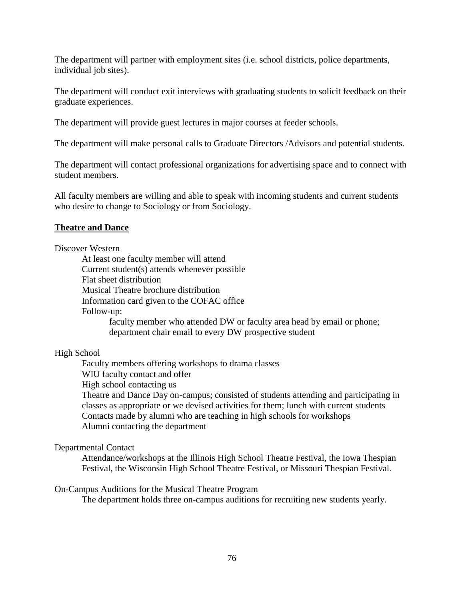The department will partner with employment sites (i.e. school districts, police departments, individual job sites).

The department will conduct exit interviews with graduating students to solicit feedback on their graduate experiences.

The department will provide guest lectures in major courses at feeder schools.

The department will make personal calls to Graduate Directors /Advisors and potential students.

The department will contact professional organizations for advertising space and to connect with student members.

All faculty members are willing and able to speak with incoming students and current students who desire to change to Sociology or from Sociology.

# **Theatre and Dance**

#### Discover Western

At least one faculty member will attend Current student(s) attends whenever possible Flat sheet distribution Musical Theatre brochure distribution Information card given to the COFAC office Follow-up: faculty member who attended DW or faculty area head by email or phone; department chair email to every DW prospective student

### High School

Faculty members offering workshops to drama classes WIU faculty contact and offer High school contacting us Theatre and Dance Day on-campus; consisted of students attending and participating in classes as appropriate or we devised activities for them; lunch with current students Contacts made by alumni who are teaching in high schools for workshops Alumni contacting the department

### Departmental Contact

Attendance/workshops at the Illinois High School Theatre Festival, the Iowa Thespian Festival, the Wisconsin High School Theatre Festival, or Missouri Thespian Festival.

### On-Campus Auditions for the Musical Theatre Program

The department holds three on-campus auditions for recruiting new students yearly.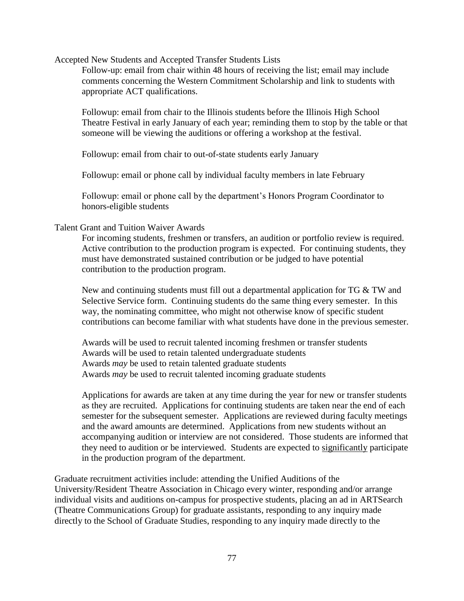Accepted New Students and Accepted Transfer Students Lists

Follow-up: email from chair within 48 hours of receiving the list; email may include comments concerning the Western Commitment Scholarship and link to students with appropriate ACT qualifications.

Followup: email from chair to the Illinois students before the Illinois High School Theatre Festival in early January of each year; reminding them to stop by the table or that someone will be viewing the auditions or offering a workshop at the festival.

Followup: email from chair to out-of-state students early January

Followup: email or phone call by individual faculty members in late February

Followup: email or phone call by the department's Honors Program Coordinator to honors-eligible students

#### Talent Grant and Tuition Waiver Awards

For incoming students, freshmen or transfers, an audition or portfolio review is required. Active contribution to the production program is expected. For continuing students, they must have demonstrated sustained contribution or be judged to have potential contribution to the production program.

New and continuing students must fill out a departmental application for  $TG \& TW$  and Selective Service form. Continuing students do the same thing every semester. In this way, the nominating committee, who might not otherwise know of specific student contributions can become familiar with what students have done in the previous semester.

Awards will be used to recruit talented incoming freshmen or transfer students Awards will be used to retain talented undergraduate students Awards *may* be used to retain talented graduate students Awards *may* be used to recruit talented incoming graduate students

Applications for awards are taken at any time during the year for new or transfer students as they are recruited. Applications for continuing students are taken near the end of each semester for the subsequent semester. Applications are reviewed during faculty meetings and the award amounts are determined. Applications from new students without an accompanying audition or interview are not considered. Those students are informed that they need to audition or be interviewed. Students are expected to significantly participate in the production program of the department.

Graduate recruitment activities include: attending the Unified Auditions of the University/Resident Theatre Association in Chicago every winter, responding and/or arrange individual visits and auditions on-campus for prospective students, placing an ad in ARTSearch (Theatre Communications Group) for graduate assistants, responding to any inquiry made directly to the School of Graduate Studies, responding to any inquiry made directly to the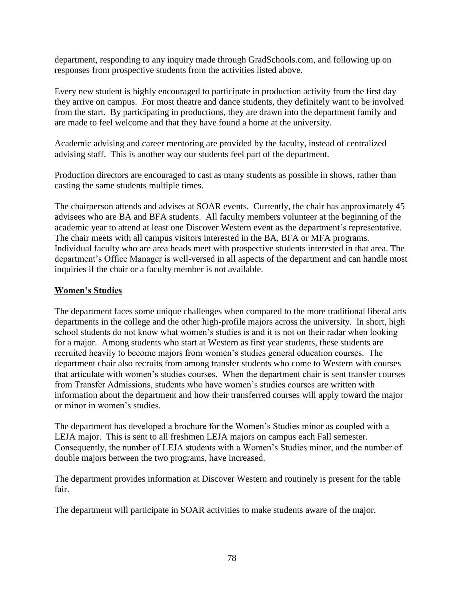department, responding to any inquiry made through GradSchools.com, and following up on responses from prospective students from the activities listed above.

Every new student is highly encouraged to participate in production activity from the first day they arrive on campus. For most theatre and dance students, they definitely want to be involved from the start. By participating in productions, they are drawn into the department family and are made to feel welcome and that they have found a home at the university.

Academic advising and career mentoring are provided by the faculty, instead of centralized advising staff. This is another way our students feel part of the department.

Production directors are encouraged to cast as many students as possible in shows, rather than casting the same students multiple times.

The chairperson attends and advises at SOAR events. Currently, the chair has approximately 45 advisees who are BA and BFA students. All faculty members volunteer at the beginning of the academic year to attend at least one Discover Western event as the department's representative. The chair meets with all campus visitors interested in the BA, BFA or MFA programs. Individual faculty who are area heads meet with prospective students interested in that area. The department's Office Manager is well-versed in all aspects of the department and can handle most inquiries if the chair or a faculty member is not available.

# **Women's Studies**

The department faces some unique challenges when compared to the more traditional liberal arts departments in the college and the other high-profile majors across the university. In short, high school students do not know what women's studies is and it is not on their radar when looking for a major. Among students who start at Western as first year students, these students are recruited heavily to become majors from women's studies general education courses. The department chair also recruits from among transfer students who come to Western with courses that articulate with women's studies courses. When the department chair is sent transfer courses from Transfer Admissions, students who have women's studies courses are written with information about the department and how their transferred courses will apply toward the major or minor in women's studies.

The department has developed a brochure for the Women's Studies minor as coupled with a LEJA major. This is sent to all freshmen LEJA majors on campus each Fall semester. Consequently, the number of LEJA students with a Women's Studies minor, and the number of double majors between the two programs, have increased.

The department provides information at Discover Western and routinely is present for the table fair.

The department will participate in SOAR activities to make students aware of the major.